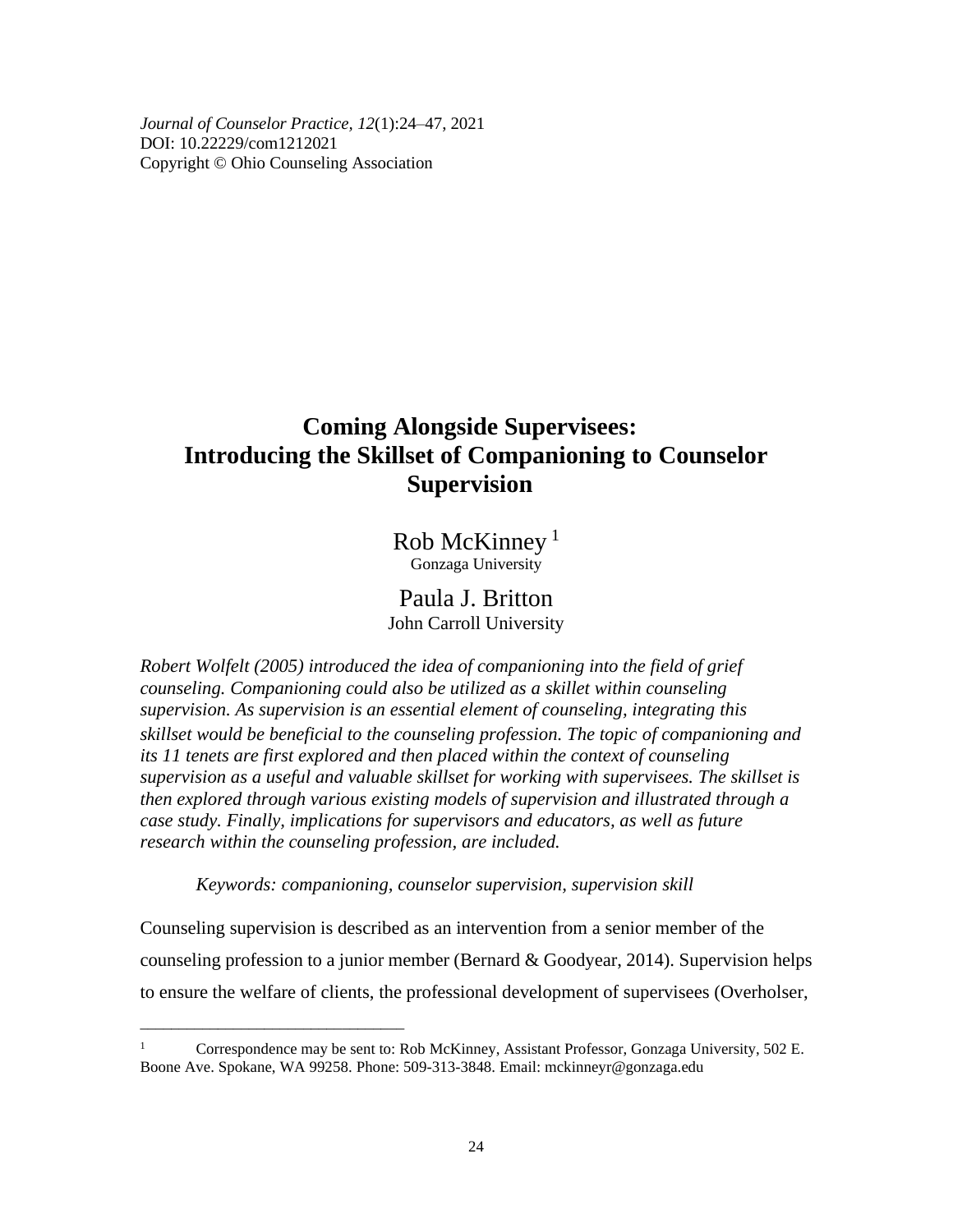*Journal of Counselor Practice, 12*(1):24–47, 2021 DOI: 10.22229/com1212021 Copyright © Ohio Counseling Association

# **Coming Alongside Supervisees: Introducing the Skillset of Companioning to Counselor Supervision**

Rob McKinney<sup>1</sup> Gonzaga University

Paula J. Britton John Carroll University

*Robert Wolfelt (2005) introduced the idea of companioning into the field of grief counseling. Companioning could also be utilized as a skillet within counseling supervision. As supervision is an essential element of counseling, integrating this skillset would be beneficial to the counseling profession. The topic of companioning and its 11 tenets are first explored and then placed within the context of counseling supervision as a useful and valuable skillset for working with supervisees. The skillset is then explored through various existing models of supervision and illustrated through a case study. Finally, implications for supervisors and educators, as well as future research within the counseling profession, are included.*

*Keywords: companioning, counselor supervision, supervision skill*

*\_\_\_\_\_\_\_\_\_\_\_\_\_\_\_\_\_\_\_\_\_\_\_\_\_\_\_\_\_\_\_\_\_\_*

Counseling supervision is described as an intervention from a senior member of the counseling profession to a junior member (Bernard & Goodyear, 2014). Supervision helps to ensure the welfare of clients, the professional development of supervisees (Overholser,

<sup>&</sup>lt;sup>1</sup> Correspondence may be sent to: Rob McKinney, Assistant Professor, Gonzaga University, 502 E. Boone Ave. Spokane, WA 99258. Phone: 509-313-3848. Email: [mckinneyr@gonzaga.edu](mailto:mckinneyr@gonzaga.edu)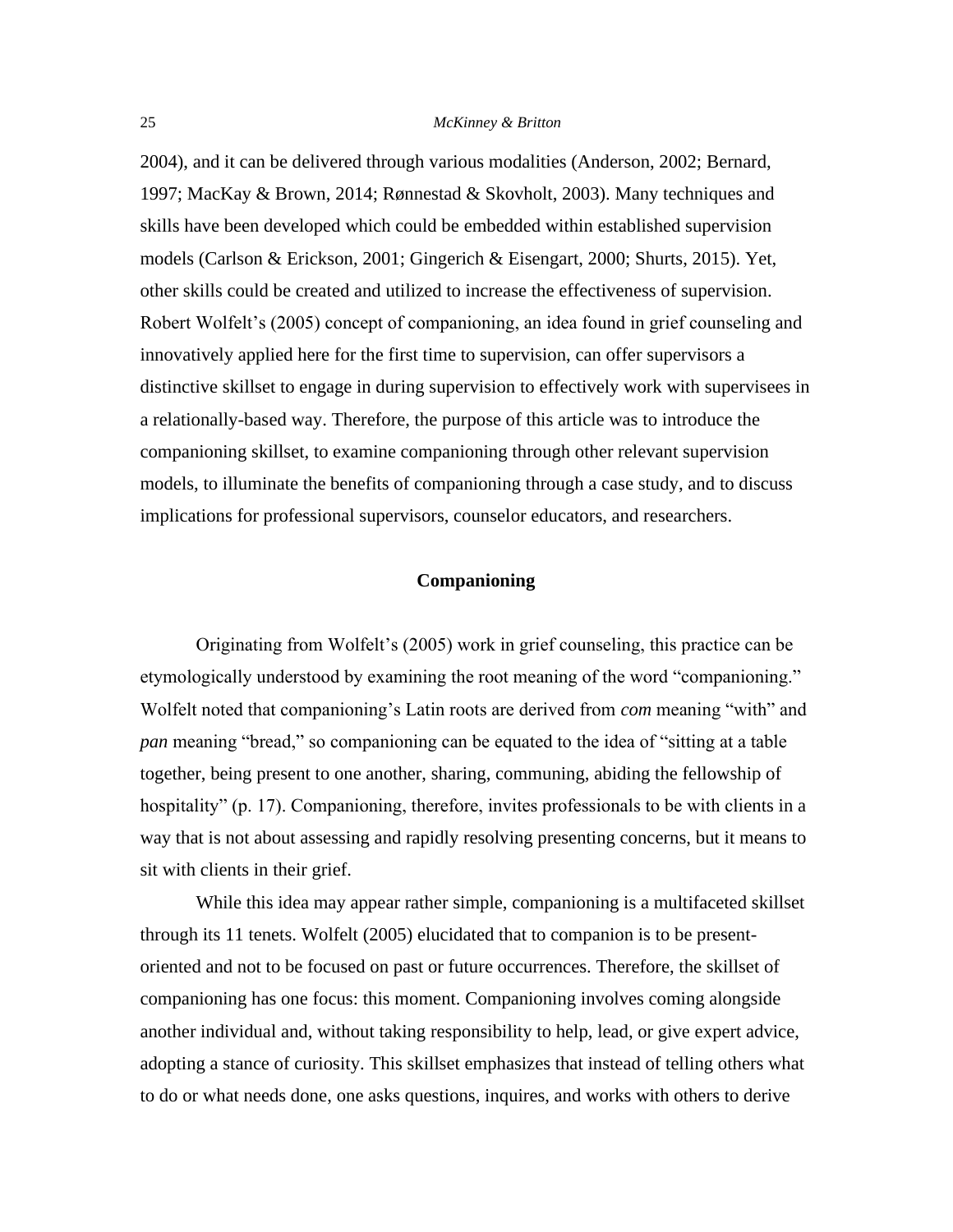2004), and it can be delivered through various modalities (Anderson, 2002; Bernard, 1997; MacKay & Brown, 2014; Rønnestad & Skovholt, 2003). Many techniques and skills have been developed which could be embedded within established supervision models (Carlson & Erickson, 2001; Gingerich & Eisengart, 2000; Shurts, 2015). Yet, other skills could be created and utilized to increase the effectiveness of supervision. Robert Wolfelt's (2005) concept of companioning, an idea found in grief counseling and innovatively applied here for the first time to supervision, can offer supervisors a distinctive skillset to engage in during supervision to effectively work with supervisees in a relationally-based way. Therefore, the purpose of this article was to introduce the companioning skillset, to examine companioning through other relevant supervision models, to illuminate the benefits of companioning through a case study, and to discuss implications for professional supervisors, counselor educators, and researchers.

## **Companioning**

Originating from Wolfelt's (2005) work in grief counseling, this practice can be etymologically understood by examining the root meaning of the word "companioning." Wolfelt noted that companioning's Latin roots are derived from *com* meaning "with" and *pan* meaning "bread," so companioning can be equated to the idea of "sitting at a table together, being present to one another, sharing, communing, abiding the fellowship of hospitality" (p. 17). Companioning, therefore, invites professionals to be with clients in a way that is not about assessing and rapidly resolving presenting concerns, but it means to sit with clients in their grief.

While this idea may appear rather simple, companioning is a multifaceted skillset through its 11 tenets. Wolfelt (2005) elucidated that to companion is to be presentoriented and not to be focused on past or future occurrences. Therefore, the skillset of companioning has one focus: this moment. Companioning involves coming alongside another individual and, without taking responsibility to help, lead, or give expert advice, adopting a stance of curiosity. This skillset emphasizes that instead of telling others what to do or what needs done, one asks questions, inquires, and works with others to derive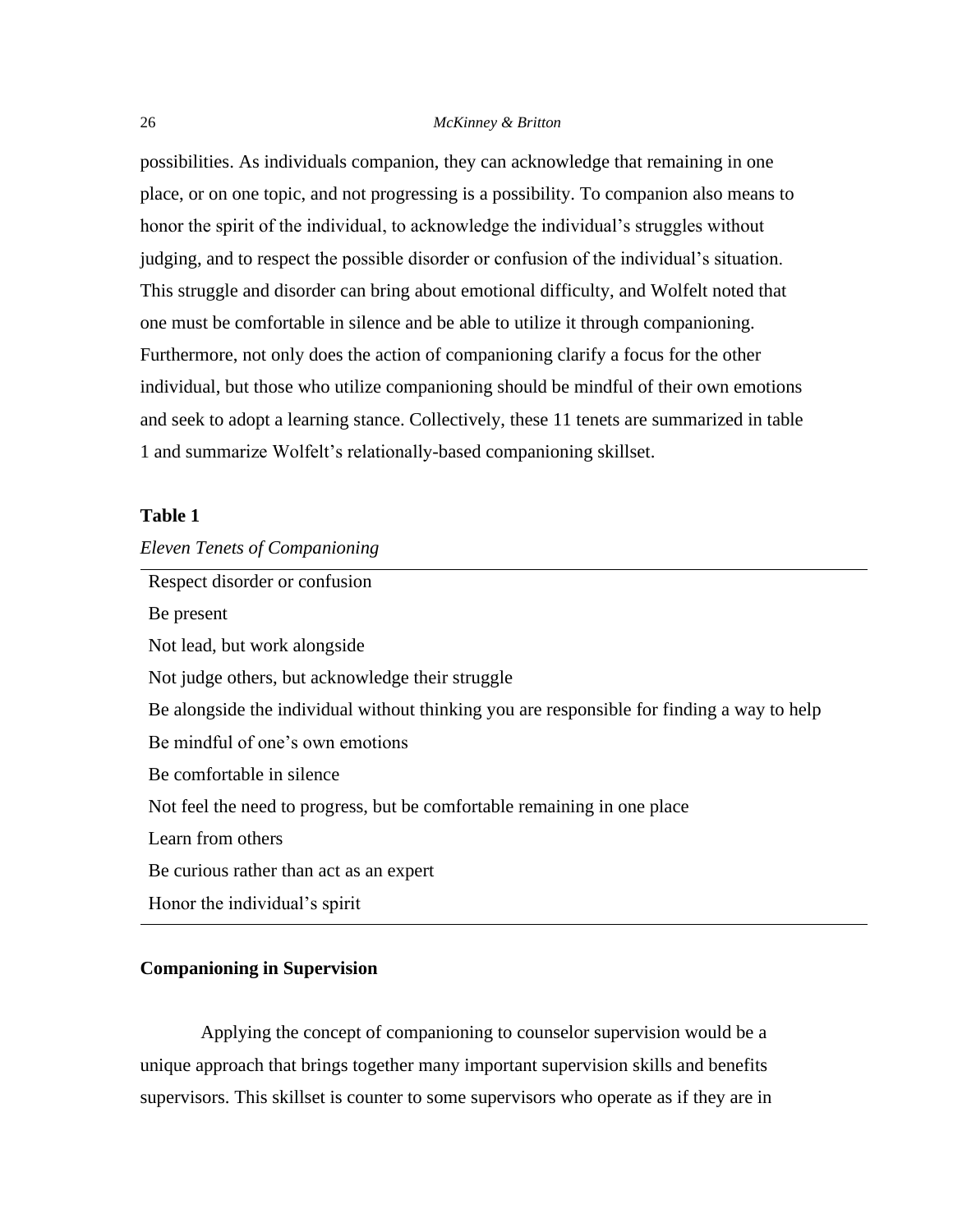possibilities. As individuals companion, they can acknowledge that remaining in one place, or on one topic, and not progressing is a possibility. To companion also means to honor the spirit of the individual, to acknowledge the individual's struggles without judging, and to respect the possible disorder or confusion of the individual's situation. This struggle and disorder can bring about emotional difficulty, and Wolfelt noted that one must be comfortable in silence and be able to utilize it through companioning. Furthermore, not only does the action of companioning clarify a focus for the other individual, but those who utilize companioning should be mindful of their own emotions and seek to adopt a learning stance. Collectively, these 11 tenets are summarized in table 1 and summarize Wolfelt's relationally-based companioning skillset.

# **Table 1**

# *Eleven Tenets of Companioning*

Respect disorder or confusion Be present Not lead, but work alongside Not judge others, but acknowledge their struggle Be alongside the individual without thinking you are responsible for finding a way to help Be mindful of one's own emotions Be comfortable in silence Not feel the need to progress, but be comfortable remaining in one place Learn from others Be curious rather than act as an expert Honor the individual's spirit

# **Companioning in Supervision**

Applying the concept of companioning to counselor supervision would be a unique approach that brings together many important supervision skills and benefits supervisors. This skillset is counter to some supervisors who operate as if they are in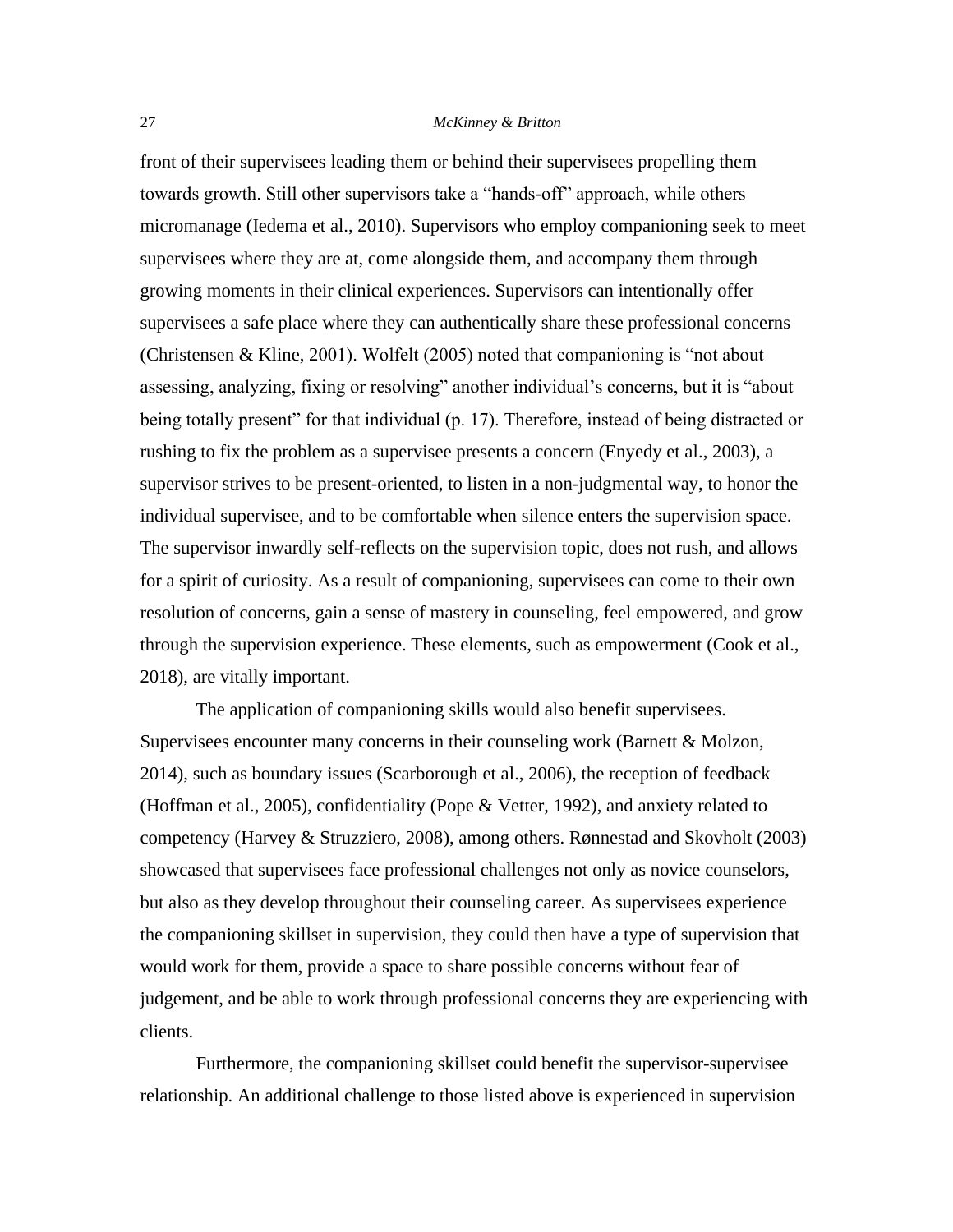front of their supervisees leading them or behind their supervisees propelling them towards growth. Still other supervisors take a "hands-off" approach, while others micromanage (Iedema et al., 2010). Supervisors who employ companioning seek to meet supervisees where they are at, come alongside them, and accompany them through growing moments in their clinical experiences. Supervisors can intentionally offer supervisees a safe place where they can authentically share these professional concerns (Christensen & Kline, 2001). Wolfelt (2005) noted that companioning is "not about assessing, analyzing, fixing or resolving" another individual's concerns, but it is "about being totally present" for that individual (p. 17). Therefore, instead of being distracted or rushing to fix the problem as a supervisee presents a concern (Enyedy et al., 2003), a supervisor strives to be present-oriented, to listen in a non-judgmental way, to honor the individual supervisee, and to be comfortable when silence enters the supervision space. The supervisor inwardly self-reflects on the supervision topic, does not rush, and allows for a spirit of curiosity. As a result of companioning, supervisees can come to their own resolution of concerns, gain a sense of mastery in counseling, feel empowered, and grow through the supervision experience. These elements, such as empowerment (Cook et al., 2018), are vitally important.

The application of companioning skills would also benefit supervisees. Supervisees encounter many concerns in their counseling work (Barnett & Molzon, 2014), such as boundary issues (Scarborough et al., 2006), the reception of feedback (Hoffman et al., 2005), confidentiality (Pope & Vetter, 1992), and anxiety related to competency (Harvey & Struzziero, 2008), among others. Rønnestad and Skovholt (2003) showcased that supervisees face professional challenges not only as novice counselors, but also as they develop throughout their counseling career. As supervisees experience the companioning skillset in supervision, they could then have a type of supervision that would work for them, provide a space to share possible concerns without fear of judgement, and be able to work through professional concerns they are experiencing with clients.

Furthermore, the companioning skillset could benefit the supervisor-supervisee relationship. An additional challenge to those listed above is experienced in supervision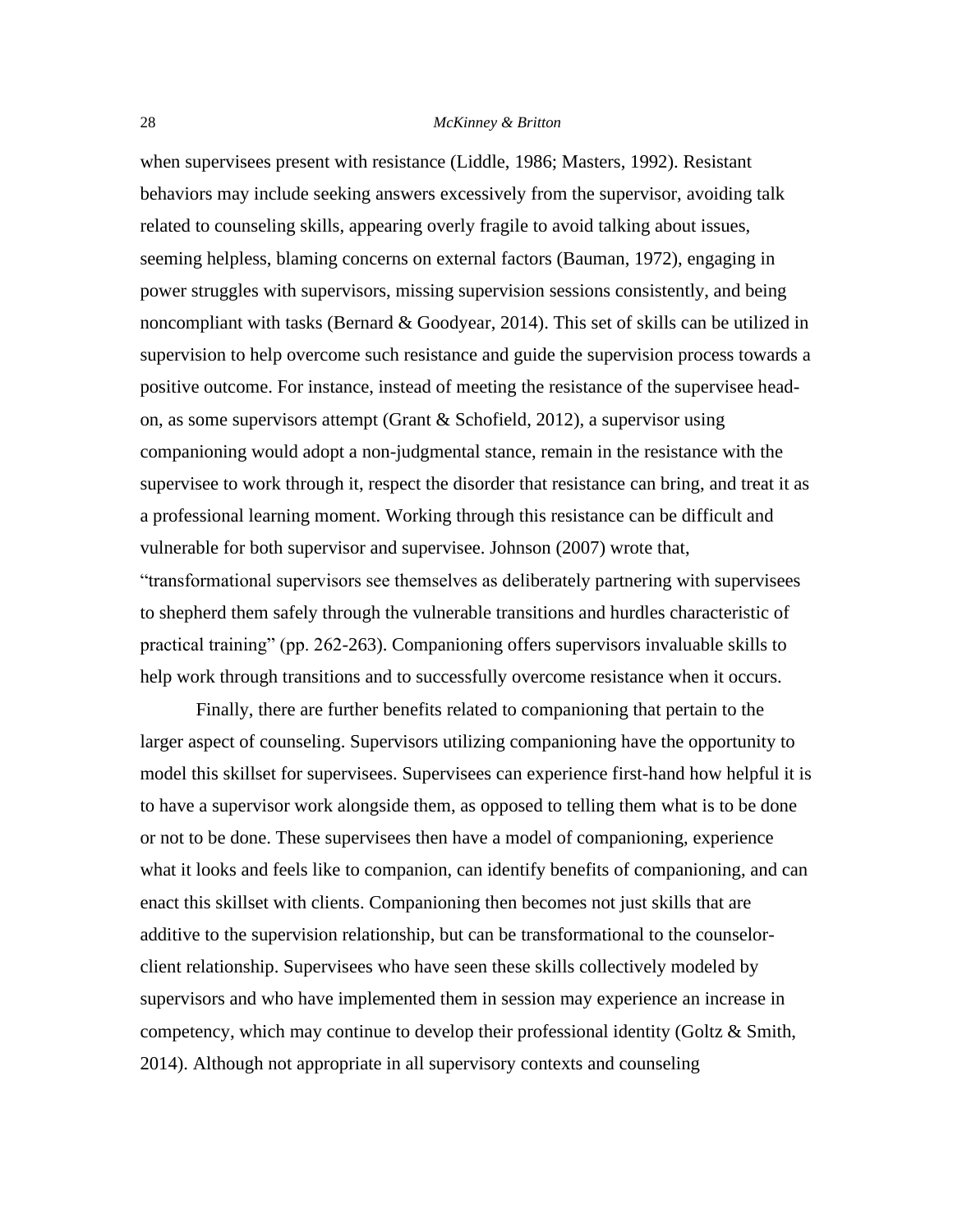when supervisees present with resistance (Liddle, 1986; Masters, 1992). Resistant behaviors may include seeking answers excessively from the supervisor, avoiding talk related to counseling skills, appearing overly fragile to avoid talking about issues, seeming helpless, blaming concerns on external factors (Bauman, 1972), engaging in power struggles with supervisors, missing supervision sessions consistently, and being noncompliant with tasks (Bernard & Goodyear, 2014). This set of skills can be utilized in supervision to help overcome such resistance and guide the supervision process towards a positive outcome. For instance, instead of meeting the resistance of the supervisee headon, as some supervisors attempt (Grant & Schofield, 2012), a supervisor using companioning would adopt a non-judgmental stance, remain in the resistance with the supervisee to work through it, respect the disorder that resistance can bring, and treat it as a professional learning moment. Working through this resistance can be difficult and vulnerable for both supervisor and supervisee. Johnson (2007) wrote that, "transformational supervisors see themselves as deliberately partnering with supervisees to shepherd them safely through the vulnerable transitions and hurdles characteristic of practical training" (pp. 262-263). Companioning offers supervisors invaluable skills to help work through transitions and to successfully overcome resistance when it occurs.

Finally, there are further benefits related to companioning that pertain to the larger aspect of counseling. Supervisors utilizing companioning have the opportunity to model this skillset for supervisees. Supervisees can experience first-hand how helpful it is to have a supervisor work alongside them, as opposed to telling them what is to be done or not to be done. These supervisees then have a model of companioning, experience what it looks and feels like to companion, can identify benefits of companioning, and can enact this skillset with clients. Companioning then becomes not just skills that are additive to the supervision relationship, but can be transformational to the counselorclient relationship. Supervisees who have seen these skills collectively modeled by supervisors and who have implemented them in session may experience an increase in competency, which may continue to develop their professional identity (Goltz & Smith, 2014). Although not appropriate in all supervisory contexts and counseling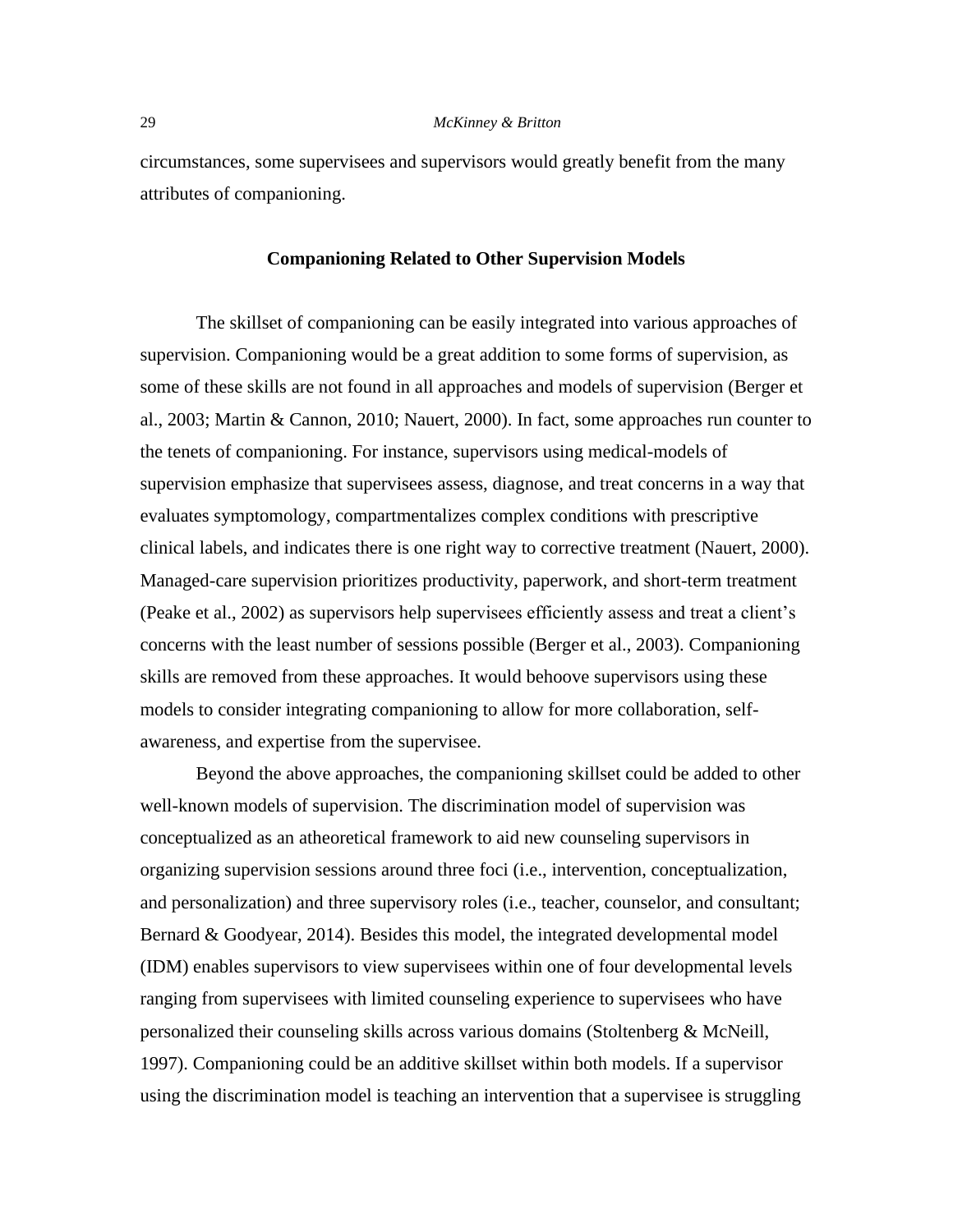circumstances, some supervisees and supervisors would greatly benefit from the many attributes of companioning.

## **Companioning Related to Other Supervision Models**

The skillset of companioning can be easily integrated into various approaches of supervision. Companioning would be a great addition to some forms of supervision, as some of these skills are not found in all approaches and models of supervision (Berger et al., 2003; Martin & Cannon, 2010; Nauert, 2000). In fact, some approaches run counter to the tenets of companioning. For instance, supervisors using medical-models of supervision emphasize that supervisees assess, diagnose, and treat concerns in a way that evaluates symptomology, compartmentalizes complex conditions with prescriptive clinical labels, and indicates there is one right way to corrective treatment (Nauert, 2000). Managed-care supervision prioritizes productivity, paperwork, and short-term treatment (Peake et al., 2002) as supervisors help supervisees efficiently assess and treat a client's concerns with the least number of sessions possible (Berger et al., 2003). Companioning skills are removed from these approaches. It would behoove supervisors using these models to consider integrating companioning to allow for more collaboration, selfawareness, and expertise from the supervisee.

Beyond the above approaches, the companioning skillset could be added to other well-known models of supervision. The discrimination model of supervision was conceptualized as an atheoretical framework to aid new counseling supervisors in organizing supervision sessions around three foci (i.e., intervention, conceptualization, and personalization) and three supervisory roles (i.e., teacher, counselor, and consultant; Bernard & Goodyear, 2014). Besides this model, the integrated developmental model (IDM) enables supervisors to view supervisees within one of four developmental levels ranging from supervisees with limited counseling experience to supervisees who have personalized their counseling skills across various domains (Stoltenberg & McNeill, 1997). Companioning could be an additive skillset within both models. If a supervisor using the discrimination model is teaching an intervention that a supervisee is struggling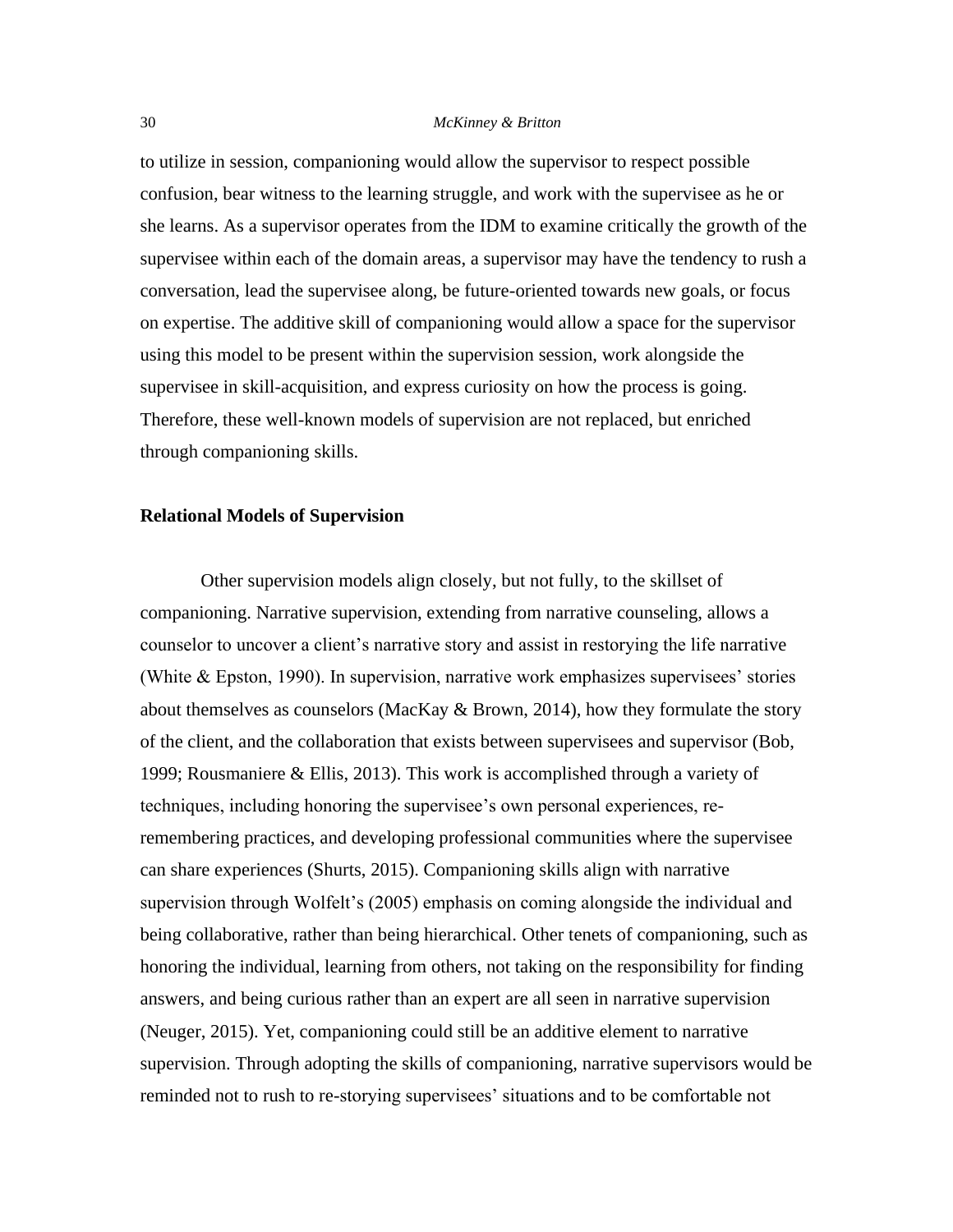to utilize in session, companioning would allow the supervisor to respect possible confusion, bear witness to the learning struggle, and work with the supervisee as he or she learns. As a supervisor operates from the IDM to examine critically the growth of the supervisee within each of the domain areas, a supervisor may have the tendency to rush a conversation, lead the supervisee along, be future-oriented towards new goals, or focus on expertise. The additive skill of companioning would allow a space for the supervisor using this model to be present within the supervision session, work alongside the supervisee in skill-acquisition, and express curiosity on how the process is going. Therefore, these well-known models of supervision are not replaced, but enriched through companioning skills.

## **Relational Models of Supervision**

 Other supervision models align closely, but not fully, to the skillset of companioning. Narrative supervision, extending from narrative counseling, allows a counselor to uncover a client's narrative story and assist in restorying the life narrative (White & Epston, 1990). In supervision, narrative work emphasizes supervisees' stories about themselves as counselors (MacKay & Brown, 2014), how they formulate the story of the client, and the collaboration that exists between supervisees and supervisor (Bob, 1999; Rousmaniere & Ellis, 2013). This work is accomplished through a variety of techniques, including honoring the supervisee's own personal experiences, reremembering practices, and developing professional communities where the supervisee can share experiences (Shurts, 2015). Companioning skills align with narrative supervision through Wolfelt's (2005) emphasis on coming alongside the individual and being collaborative, rather than being hierarchical. Other tenets of companioning, such as honoring the individual, learning from others, not taking on the responsibility for finding answers, and being curious rather than an expert are all seen in narrative supervision (Neuger, 2015). Yet, companioning could still be an additive element to narrative supervision. Through adopting the skills of companioning, narrative supervisors would be reminded not to rush to re-storying supervisees' situations and to be comfortable not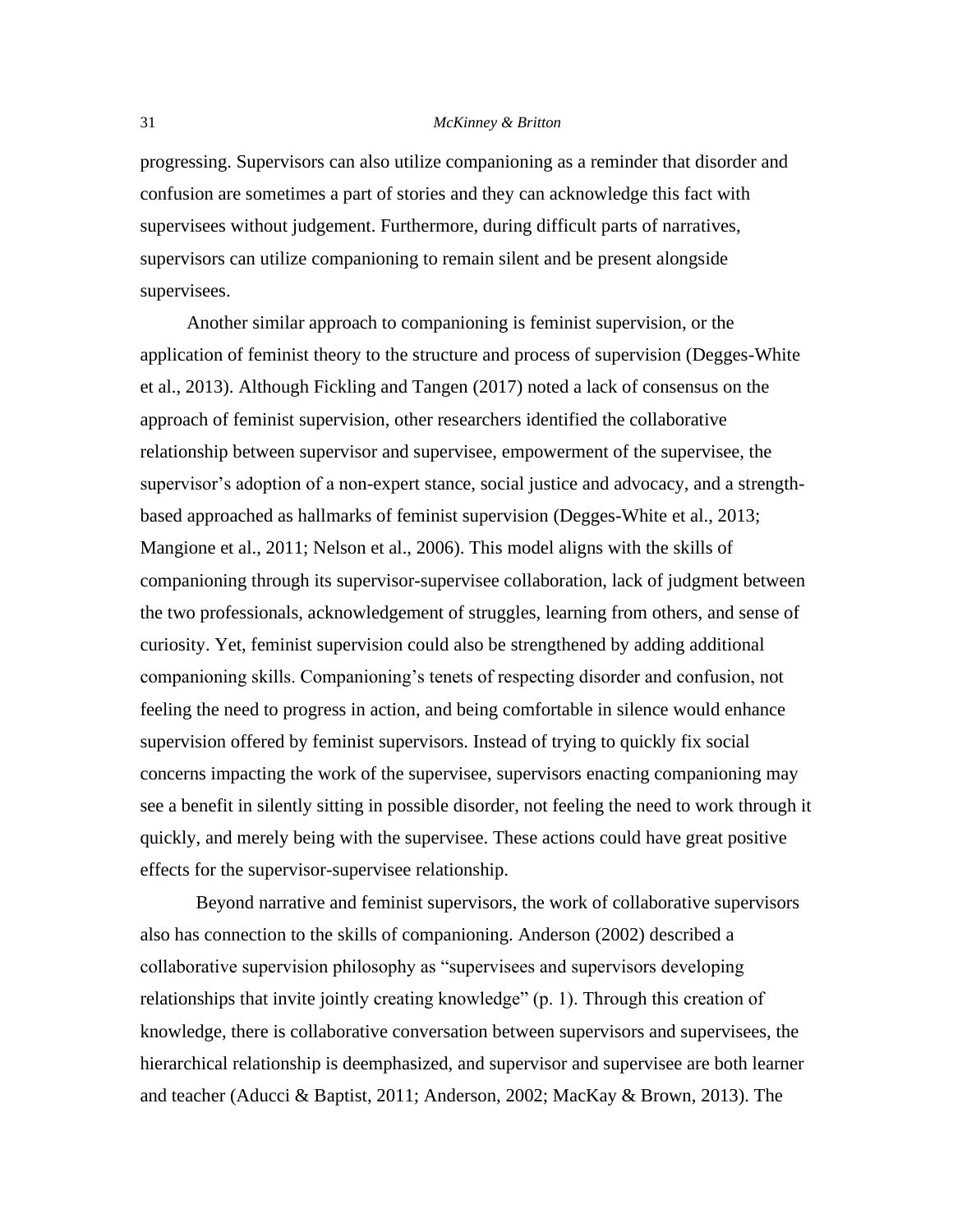progressing. Supervisors can also utilize companioning as a reminder that disorder and confusion are sometimes a part of stories and they can acknowledge this fact with supervisees without judgement. Furthermore, during difficult parts of narratives, supervisors can utilize companioning to remain silent and be present alongside supervisees.

 Another similar approach to companioning is feminist supervision, or the application of feminist theory to the structure and process of supervision (Degges-White et al., 2013). Although Fickling and Tangen (2017) noted a lack of consensus on the approach of feminist supervision, other researchers identified the collaborative relationship between supervisor and supervisee, empowerment of the supervisee, the supervisor's adoption of a non-expert stance, social justice and advocacy, and a strengthbased approached as hallmarks of feminist supervision (Degges-White et al., 2013; Mangione et al., 2011; Nelson et al., 2006). This model aligns with the skills of companioning through its supervisor-supervisee collaboration, lack of judgment between the two professionals, acknowledgement of struggles, learning from others, and sense of curiosity. Yet, feminist supervision could also be strengthened by adding additional companioning skills. Companioning's tenets of respecting disorder and confusion, not feeling the need to progress in action, and being comfortable in silence would enhance supervision offered by feminist supervisors. Instead of trying to quickly fix social concerns impacting the work of the supervisee, supervisors enacting companioning may see a benefit in silently sitting in possible disorder, not feeling the need to work through it quickly, and merely being with the supervisee. These actions could have great positive effects for the supervisor-supervisee relationship.

Beyond narrative and feminist supervisors, the work of collaborative supervisors also has connection to the skills of companioning. Anderson (2002) described a collaborative supervision philosophy as "supervisees and supervisors developing relationships that invite jointly creating knowledge" (p. 1). Through this creation of knowledge, there is collaborative conversation between supervisors and supervisees, the hierarchical relationship is deemphasized, and supervisor and supervisee are both learner and teacher (Aducci & Baptist, 2011; Anderson, 2002; MacKay & Brown, 2013). The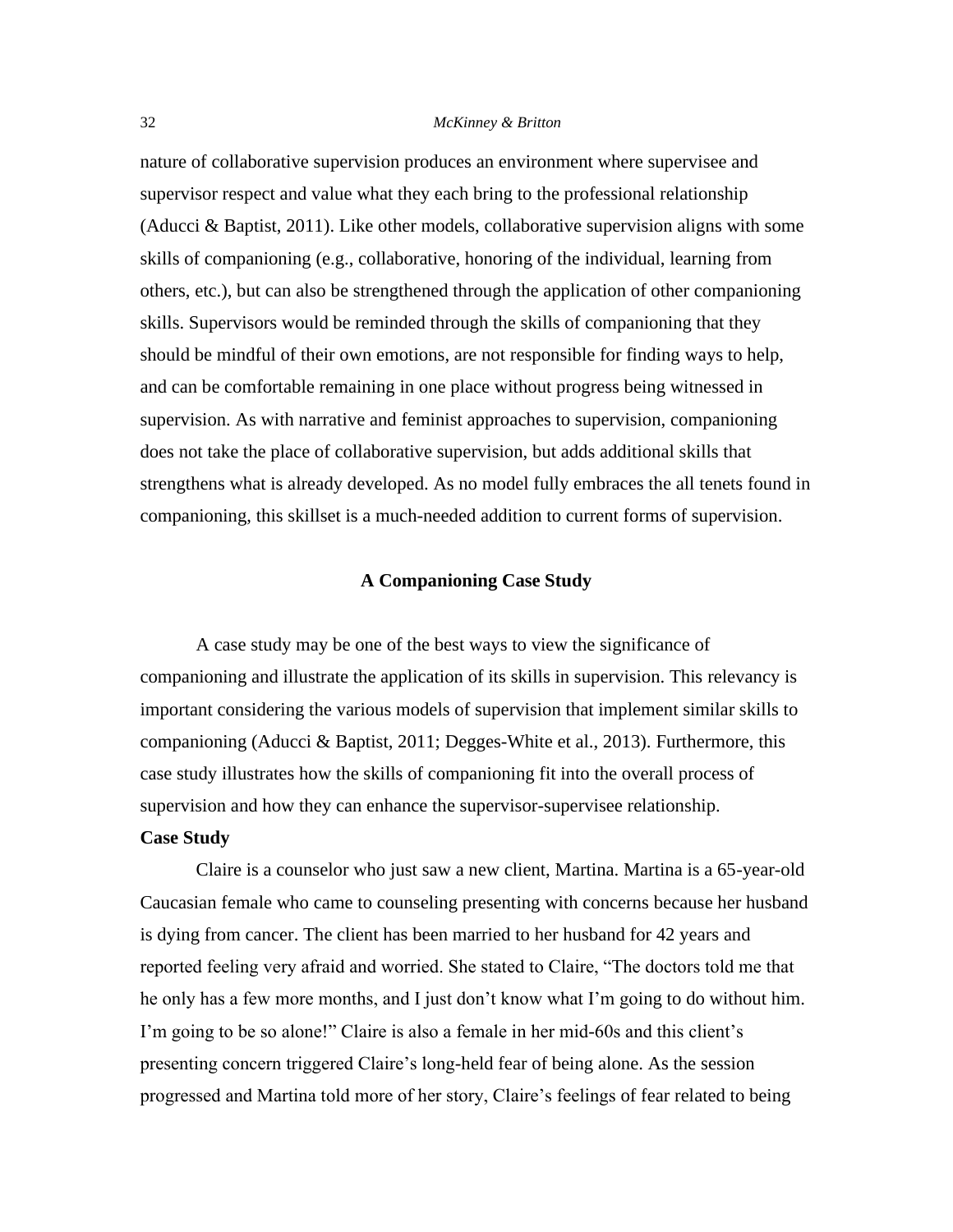nature of collaborative supervision produces an environment where supervisee and supervisor respect and value what they each bring to the professional relationship (Aducci & Baptist, 2011). Like other models, collaborative supervision aligns with some skills of companioning (e.g., collaborative, honoring of the individual, learning from others, etc.), but can also be strengthened through the application of other companioning skills. Supervisors would be reminded through the skills of companioning that they should be mindful of their own emotions, are not responsible for finding ways to help, and can be comfortable remaining in one place without progress being witnessed in supervision. As with narrative and feminist approaches to supervision, companioning does not take the place of collaborative supervision, but adds additional skills that strengthens what is already developed. As no model fully embraces the all tenets found in companioning, this skillset is a much-needed addition to current forms of supervision.

## **A Companioning Case Study**

A case study may be one of the best ways to view the significance of companioning and illustrate the application of its skills in supervision. This relevancy is important considering the various models of supervision that implement similar skills to companioning (Aducci & Baptist, 2011; Degges-White et al., 2013). Furthermore, this case study illustrates how the skills of companioning fit into the overall process of supervision and how they can enhance the supervisor-supervisee relationship.

## **Case Study**

Claire is a counselor who just saw a new client, Martina. Martina is a 65-year-old Caucasian female who came to counseling presenting with concerns because her husband is dying from cancer. The client has been married to her husband for 42 years and reported feeling very afraid and worried. She stated to Claire, "The doctors told me that he only has a few more months, and I just don't know what I'm going to do without him. I'm going to be so alone!" Claire is also a female in her mid-60s and this client's presenting concern triggered Claire's long-held fear of being alone. As the session progressed and Martina told more of her story, Claire's feelings of fear related to being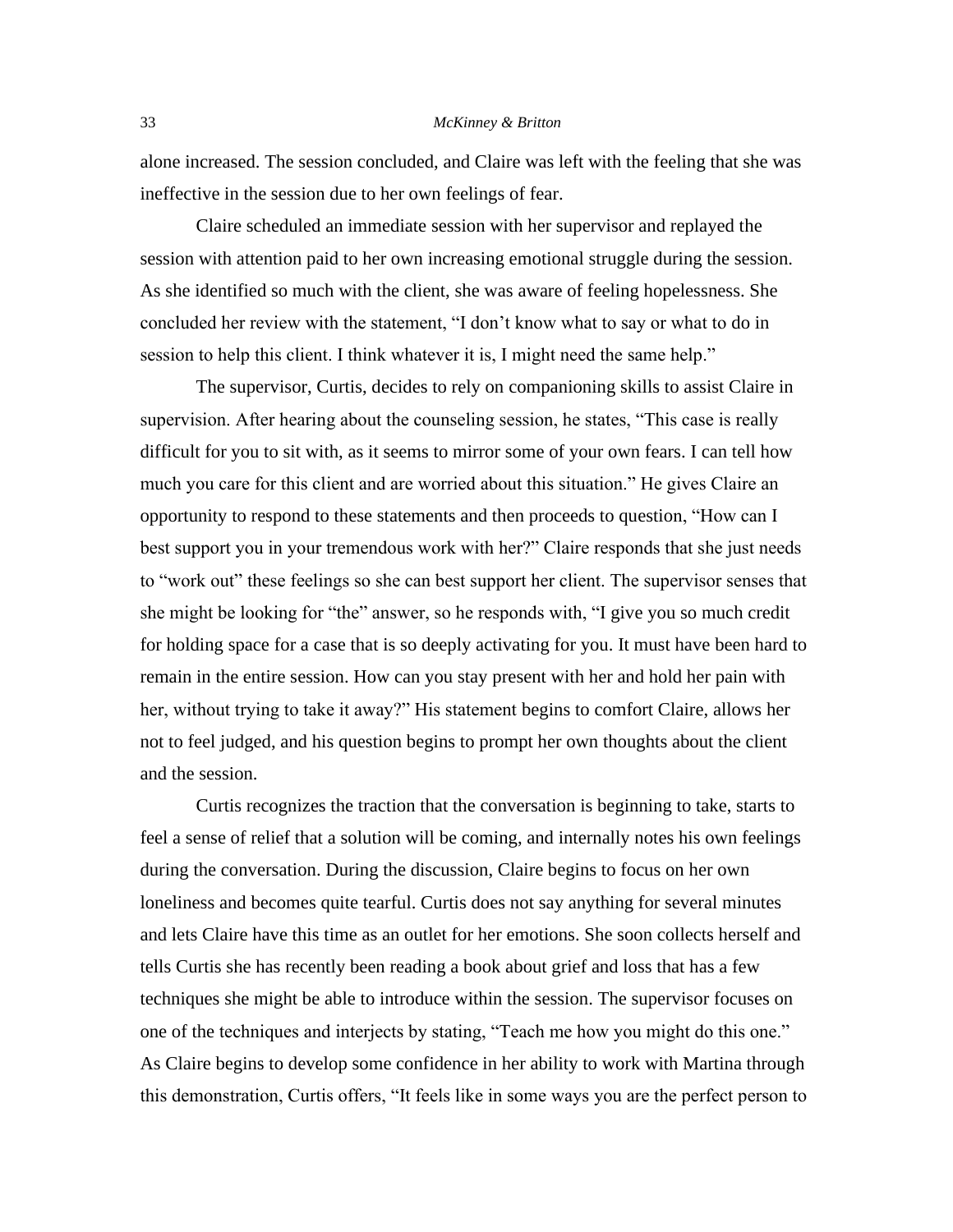alone increased. The session concluded, and Claire was left with the feeling that she was ineffective in the session due to her own feelings of fear.

Claire scheduled an immediate session with her supervisor and replayed the session with attention paid to her own increasing emotional struggle during the session. As she identified so much with the client, she was aware of feeling hopelessness. She concluded her review with the statement, "I don't know what to say or what to do in session to help this client. I think whatever it is, I might need the same help."

The supervisor, Curtis, decides to rely on companioning skills to assist Claire in supervision. After hearing about the counseling session, he states, "This case is really difficult for you to sit with, as it seems to mirror some of your own fears. I can tell how much you care for this client and are worried about this situation." He gives Claire an opportunity to respond to these statements and then proceeds to question, "How can I best support you in your tremendous work with her?" Claire responds that she just needs to "work out" these feelings so she can best support her client. The supervisor senses that she might be looking for "the" answer, so he responds with, "I give you so much credit for holding space for a case that is so deeply activating for you. It must have been hard to remain in the entire session. How can you stay present with her and hold her pain with her, without trying to take it away?" His statement begins to comfort Claire, allows her not to feel judged, and his question begins to prompt her own thoughts about the client and the session.

Curtis recognizes the traction that the conversation is beginning to take, starts to feel a sense of relief that a solution will be coming, and internally notes his own feelings during the conversation. During the discussion, Claire begins to focus on her own loneliness and becomes quite tearful. Curtis does not say anything for several minutes and lets Claire have this time as an outlet for her emotions. She soon collects herself and tells Curtis she has recently been reading a book about grief and loss that has a few techniques she might be able to introduce within the session. The supervisor focuses on one of the techniques and interjects by stating, "Teach me how you might do this one." As Claire begins to develop some confidence in her ability to work with Martina through this demonstration, Curtis offers, "It feels like in some ways you are the perfect person to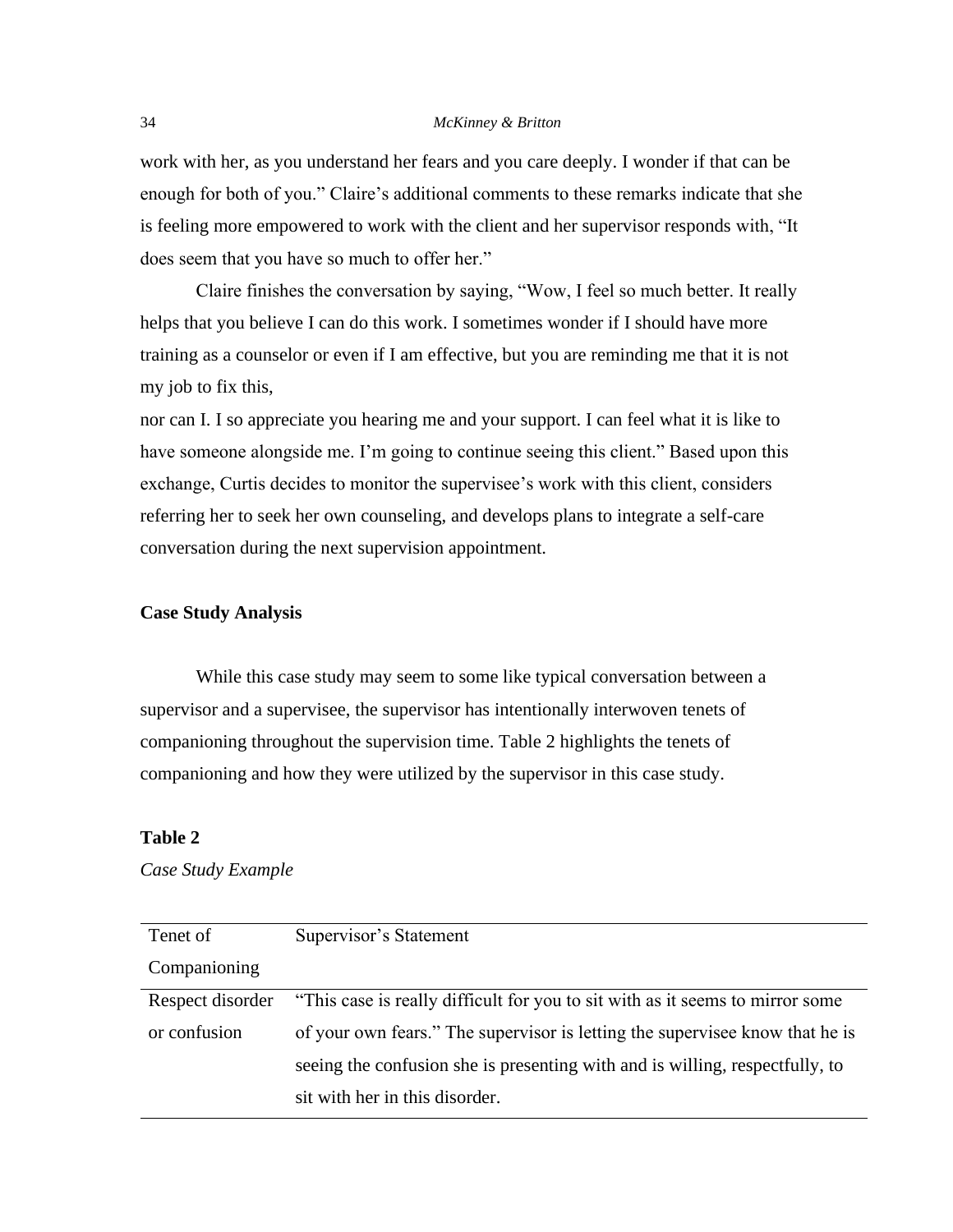work with her, as you understand her fears and you care deeply. I wonder if that can be enough for both of you." Claire's additional comments to these remarks indicate that she is feeling more empowered to work with the client and her supervisor responds with, "It does seem that you have so much to offer her."

Claire finishes the conversation by saying, "Wow, I feel so much better. It really helps that you believe I can do this work. I sometimes wonder if I should have more training as a counselor or even if I am effective, but you are reminding me that it is not my job to fix this,

nor can I. I so appreciate you hearing me and your support. I can feel what it is like to have someone alongside me. I'm going to continue seeing this client." Based upon this exchange, Curtis decides to monitor the supervisee's work with this client, considers referring her to seek her own counseling, and develops plans to integrate a self-care conversation during the next supervision appointment.

## **Case Study Analysis**

While this case study may seem to some like typical conversation between a supervisor and a supervisee, the supervisor has intentionally interwoven tenets of companioning throughout the supervision time. Table 2 highlights the tenets of companioning and how they were utilized by the supervisor in this case study.

## **Table 2**

*Case Study Example* 

| Tenet of         | Supervisor's Statement                                                        |
|------------------|-------------------------------------------------------------------------------|
| Companioning     |                                                                               |
| Respect disorder | "This case is really difficult for you to sit with as it seems to mirror some |
| or confusion     | of your own fears." The supervisor is letting the supervisee know that he is  |
|                  | seeing the confusion she is presenting with and is willing, respectfully, to  |
|                  | sit with her in this disorder.                                                |
|                  |                                                                               |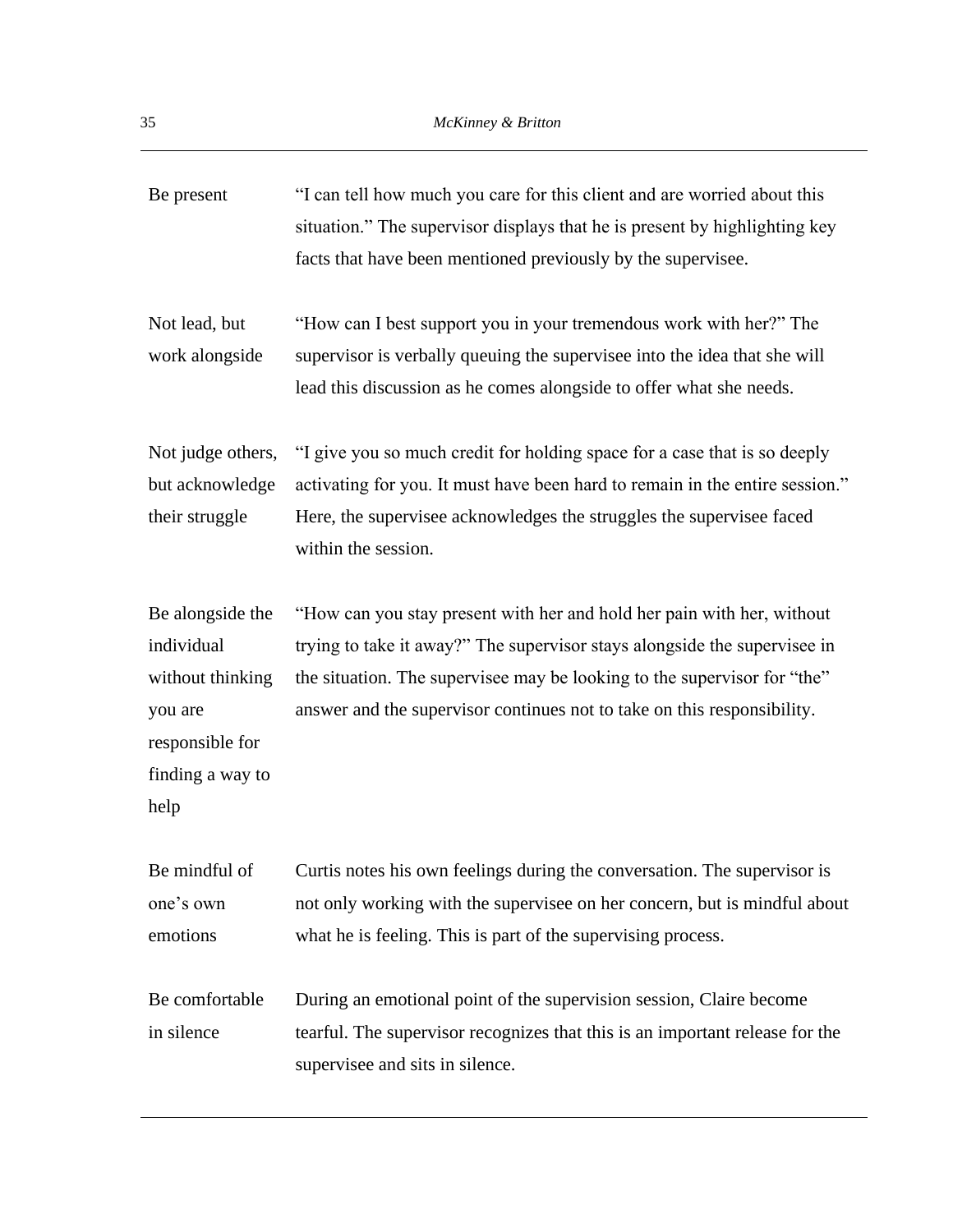| Be present                                                                                                   | "I can tell how much you care for this client and are worried about this<br>situation." The supervisor displays that he is present by highlighting key<br>facts that have been mentioned previously by the supervisee.                                                                                     |
|--------------------------------------------------------------------------------------------------------------|------------------------------------------------------------------------------------------------------------------------------------------------------------------------------------------------------------------------------------------------------------------------------------------------------------|
| Not lead, but<br>work alongside                                                                              | "How can I best support you in your tremendous work with her?" The<br>supervisor is verbally queuing the supervisee into the idea that she will<br>lead this discussion as he comes alongside to offer what she needs.                                                                                     |
| Not judge others,<br>but acknowledge<br>their struggle                                                       | "I give you so much credit for holding space for a case that is so deeply<br>activating for you. It must have been hard to remain in the entire session."<br>Here, the supervisee acknowledges the struggles the supervisee faced<br>within the session.                                                   |
| Be alongside the<br>individual<br>without thinking<br>you are<br>responsible for<br>finding a way to<br>help | "How can you stay present with her and hold her pain with her, without<br>trying to take it away?" The supervisor stays alongside the supervisee in<br>the situation. The supervisee may be looking to the supervisor for "the"<br>answer and the supervisor continues not to take on this responsibility. |
| Be mindful of<br>one's own<br>emotions                                                                       | Curtis notes his own feelings during the conversation. The supervisor is<br>not only working with the supervisee on her concern, but is mindful about<br>what he is feeling. This is part of the supervising process.                                                                                      |
| Be comfortable<br>in silence                                                                                 | During an emotional point of the supervision session, Claire become<br>tearful. The supervisor recognizes that this is an important release for the<br>supervisee and sits in silence.                                                                                                                     |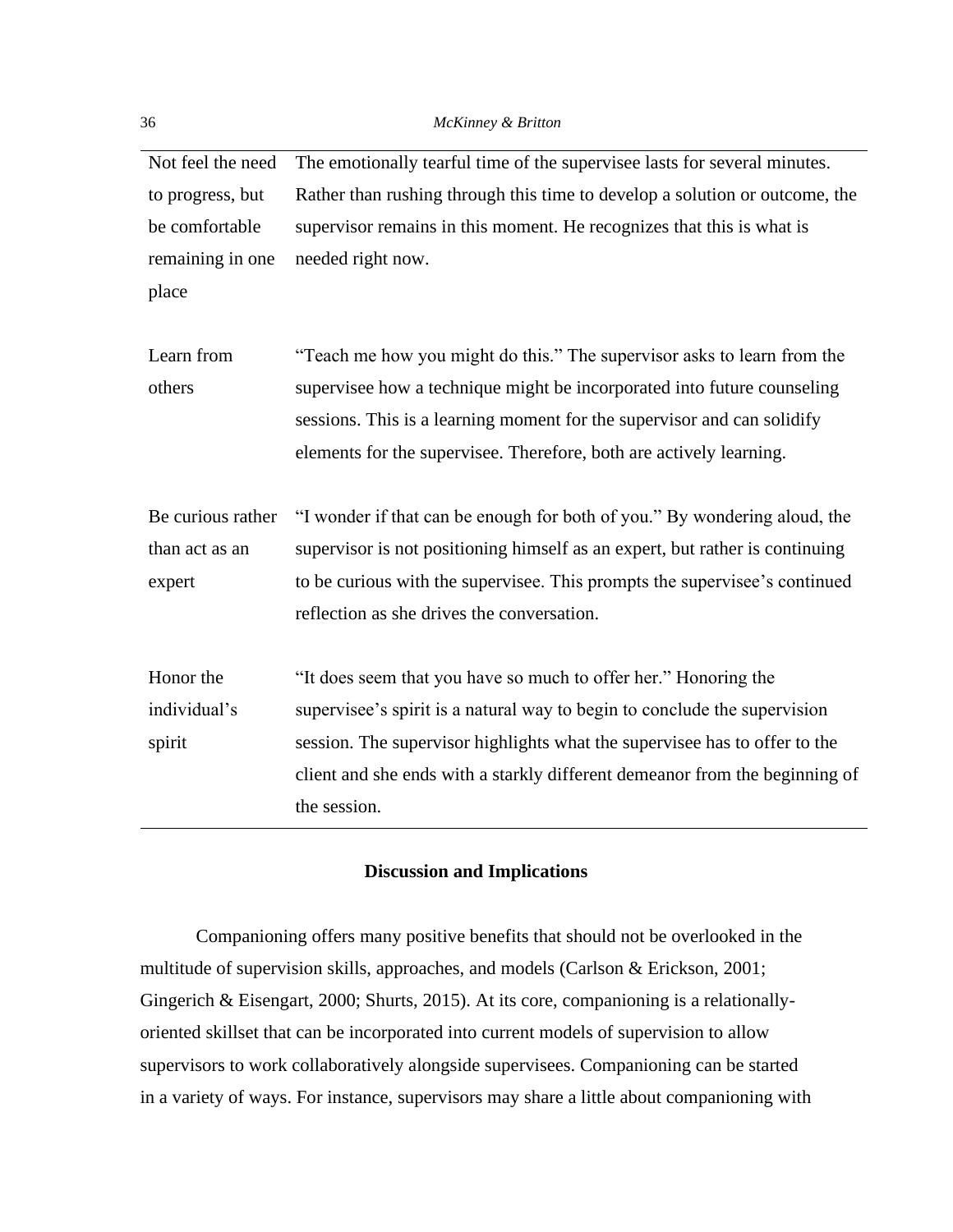Not feel the need to progress, but be comfortable remaining in one place The emotionally tearful time of the supervisee lasts for several minutes. Rather than rushing through this time to develop a solution or outcome, the supervisor remains in this moment. He recognizes that this is what is needed right now. Learn from others "Teach me how you might do this." The supervisor asks to learn from the supervisee how a technique might be incorporated into future counseling sessions. This is a learning moment for the supervisor and can solidify elements for the supervisee. Therefore, both are actively learning. Be curious rather than act as an expert "I wonder if that can be enough for both of you." By wondering aloud, the supervisor is not positioning himself as an expert, but rather is continuing to be curious with the supervisee. This prompts the supervisee's continued reflection as she drives the conversation. Honor the individual's spirit "It does seem that you have so much to offer her." Honoring the supervisee's spirit is a natural way to begin to conclude the supervision session. The supervisor highlights what the supervisee has to offer to the client and she ends with a starkly different demeanor from the beginning of the session.

## **Discussion and Implications**

Companioning offers many positive benefits that should not be overlooked in the multitude of supervision skills, approaches, and models (Carlson  $\&$  Erickson, 2001; Gingerich & Eisengart, 2000; Shurts, 2015). At its core, companioning is a relationallyoriented skillset that can be incorporated into current models of supervision to allow supervisors to work collaboratively alongside supervisees. Companioning can be started in a variety of ways. For instance, supervisors may share a little about companioning with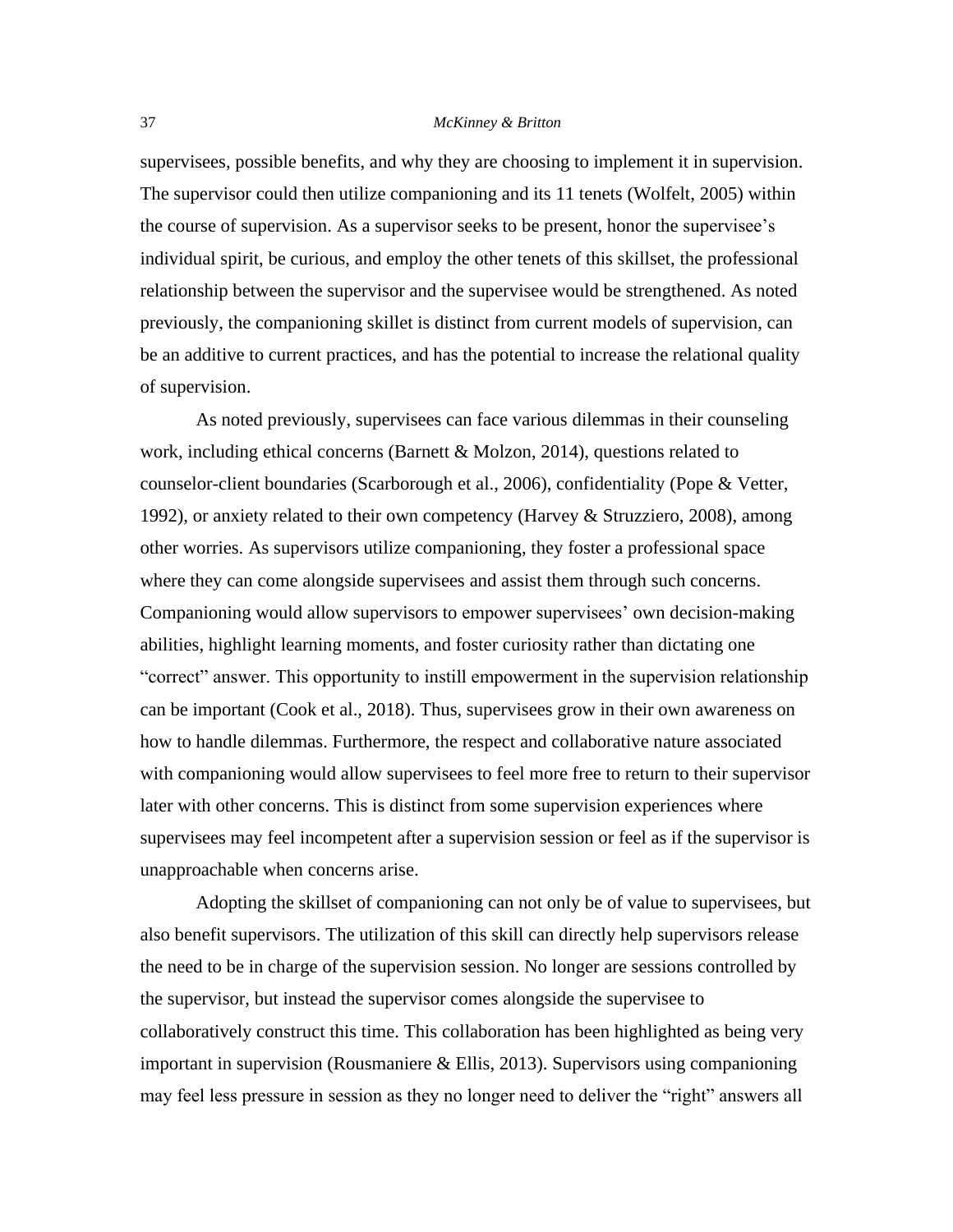supervisees, possible benefits, and why they are choosing to implement it in supervision. The supervisor could then utilize companioning and its 11 tenets (Wolfelt, 2005) within the course of supervision. As a supervisor seeks to be present, honor the supervisee's individual spirit, be curious, and employ the other tenets of this skillset, the professional relationship between the supervisor and the supervisee would be strengthened. As noted previously, the companioning skillet is distinct from current models of supervision, can be an additive to current practices, and has the potential to increase the relational quality of supervision.

As noted previously, supervisees can face various dilemmas in their counseling work, including ethical concerns (Barnett & Molzon, 2014), questions related to counselor-client boundaries (Scarborough et al., 2006), confidentiality (Pope & Vetter, 1992), or anxiety related to their own competency (Harvey & Struzziero, 2008), among other worries. As supervisors utilize companioning, they foster a professional space where they can come alongside supervisees and assist them through such concerns. Companioning would allow supervisors to empower supervisees' own decision-making abilities, highlight learning moments, and foster curiosity rather than dictating one "correct" answer. This opportunity to instill empowerment in the supervision relationship can be important (Cook et al., 2018). Thus, supervisees grow in their own awareness on how to handle dilemmas. Furthermore, the respect and collaborative nature associated with companioning would allow supervisees to feel more free to return to their supervisor later with other concerns. This is distinct from some supervision experiences where supervisees may feel incompetent after a supervision session or feel as if the supervisor is unapproachable when concerns arise.

Adopting the skillset of companioning can not only be of value to supervisees, but also benefit supervisors. The utilization of this skill can directly help supervisors release the need to be in charge of the supervision session. No longer are sessions controlled by the supervisor, but instead the supervisor comes alongside the supervisee to collaboratively construct this time. This collaboration has been highlighted as being very important in supervision (Rousmaniere & Ellis, 2013). Supervisors using companioning may feel less pressure in session as they no longer need to deliver the "right" answers all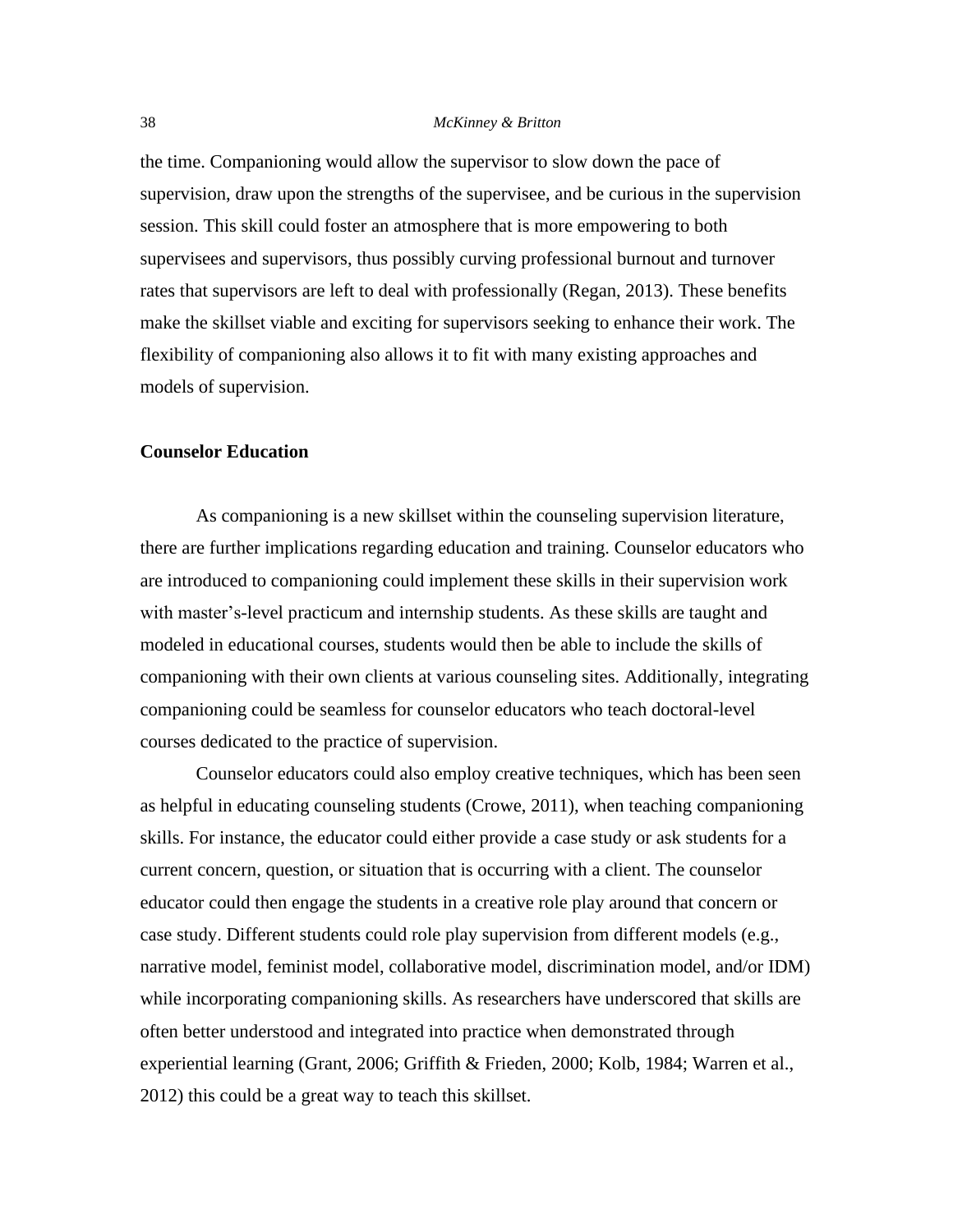the time. Companioning would allow the supervisor to slow down the pace of supervision, draw upon the strengths of the supervisee, and be curious in the supervision session. This skill could foster an atmosphere that is more empowering to both supervisees and supervisors, thus possibly curving professional burnout and turnover rates that supervisors are left to deal with professionally (Regan, 2013). These benefits make the skillset viable and exciting for supervisors seeking to enhance their work. The flexibility of companioning also allows it to fit with many existing approaches and models of supervision.

#### **Counselor Education**

As companioning is a new skillset within the counseling supervision literature, there are further implications regarding education and training. Counselor educators who are introduced to companioning could implement these skills in their supervision work with master's-level practicum and internship students. As these skills are taught and modeled in educational courses, students would then be able to include the skills of companioning with their own clients at various counseling sites. Additionally, integrating companioning could be seamless for counselor educators who teach doctoral-level courses dedicated to the practice of supervision.

Counselor educators could also employ creative techniques, which has been seen as helpful in educating counseling students (Crowe, 2011), when teaching companioning skills. For instance, the educator could either provide a case study or ask students for a current concern, question, or situation that is occurring with a client. The counselor educator could then engage the students in a creative role play around that concern or case study. Different students could role play supervision from different models (e.g., narrative model, feminist model, collaborative model, discrimination model, and/or IDM) while incorporating companioning skills. As researchers have underscored that skills are often better understood and integrated into practice when demonstrated through experiential learning (Grant, 2006; Griffith & Frieden, 2000; Kolb, 1984; Warren et al., 2012) this could be a great way to teach this skillset.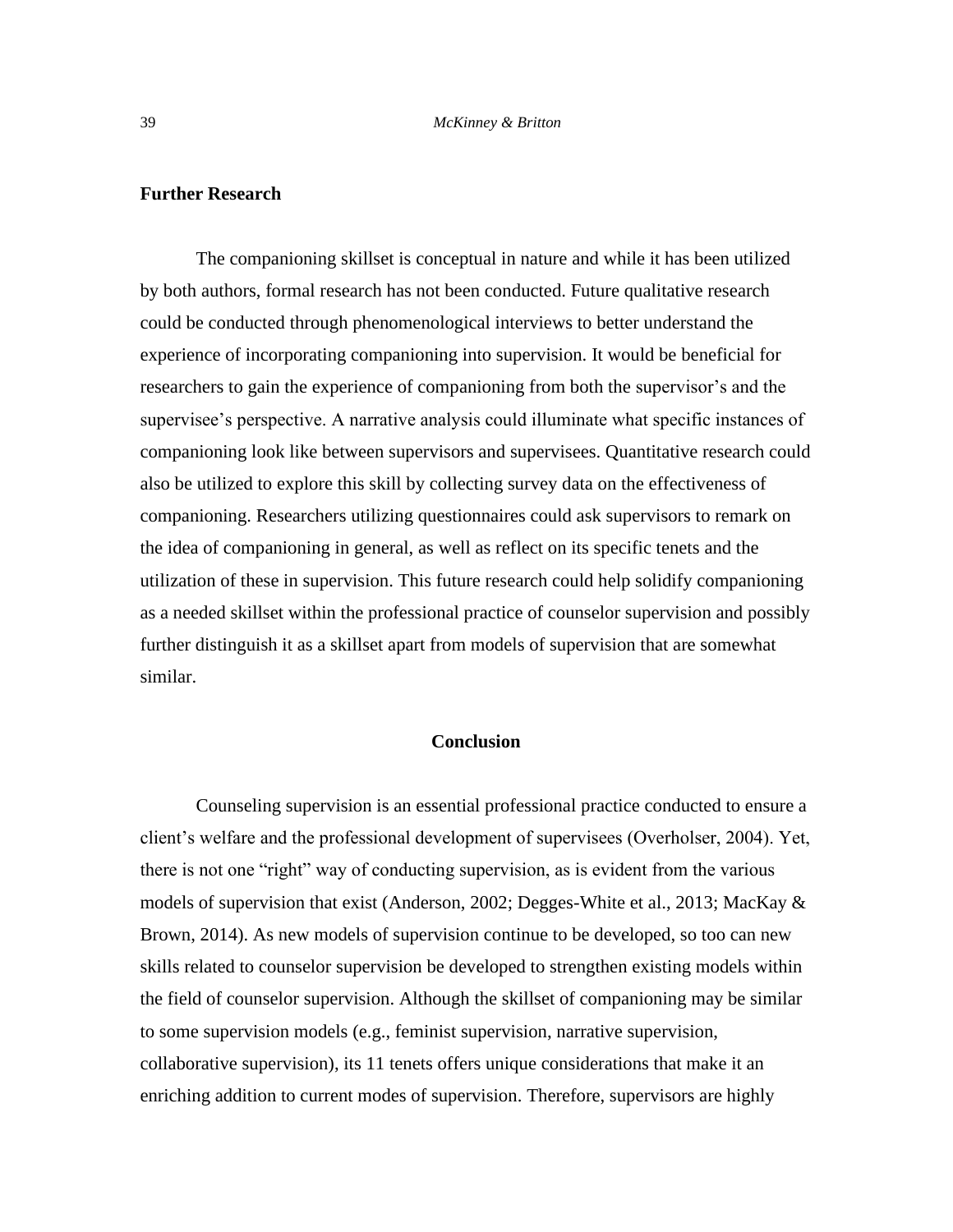## **Further Research**

The companioning skillset is conceptual in nature and while it has been utilized by both authors, formal research has not been conducted. Future qualitative research could be conducted through phenomenological interviews to better understand the experience of incorporating companioning into supervision. It would be beneficial for researchers to gain the experience of companioning from both the supervisor's and the supervisee's perspective. A narrative analysis could illuminate what specific instances of companioning look like between supervisors and supervisees. Quantitative research could also be utilized to explore this skill by collecting survey data on the effectiveness of companioning. Researchers utilizing questionnaires could ask supervisors to remark on the idea of companioning in general, as well as reflect on its specific tenets and the utilization of these in supervision. This future research could help solidify companioning as a needed skillset within the professional practice of counselor supervision and possibly further distinguish it as a skillset apart from models of supervision that are somewhat similar.

### **Conclusion**

Counseling supervision is an essential professional practice conducted to ensure a client's welfare and the professional development of supervisees (Overholser, 2004). Yet, there is not one "right" way of conducting supervision, as is evident from the various models of supervision that exist (Anderson, 2002; Degges-White et al., 2013; MacKay & Brown, 2014). As new models of supervision continue to be developed, so too can new skills related to counselor supervision be developed to strengthen existing models within the field of counselor supervision. Although the skillset of companioning may be similar to some supervision models (e.g., feminist supervision, narrative supervision, collaborative supervision), its 11 tenets offers unique considerations that make it an enriching addition to current modes of supervision. Therefore, supervisors are highly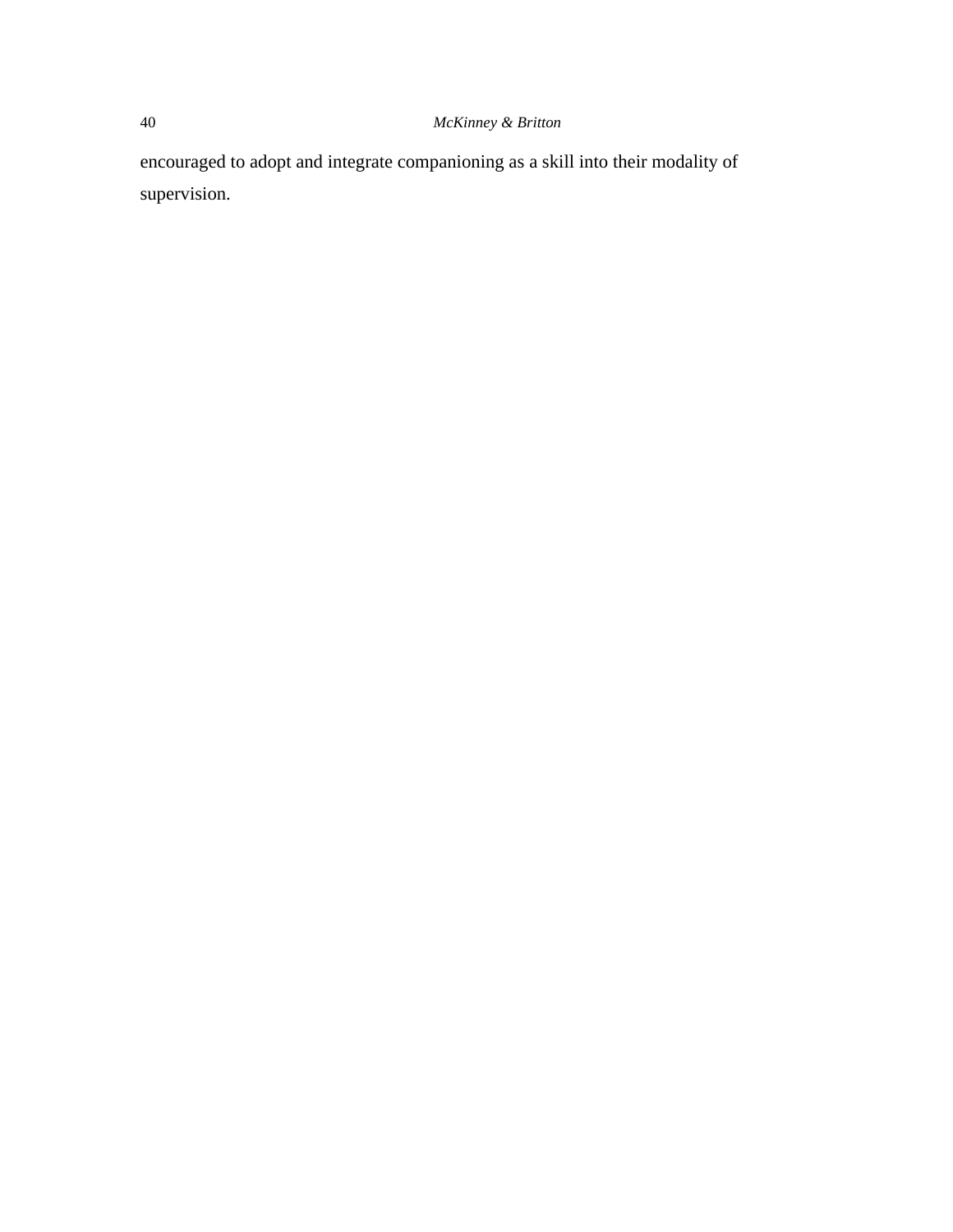encouraged to adopt and integrate companioning as a skill into their modality of supervision.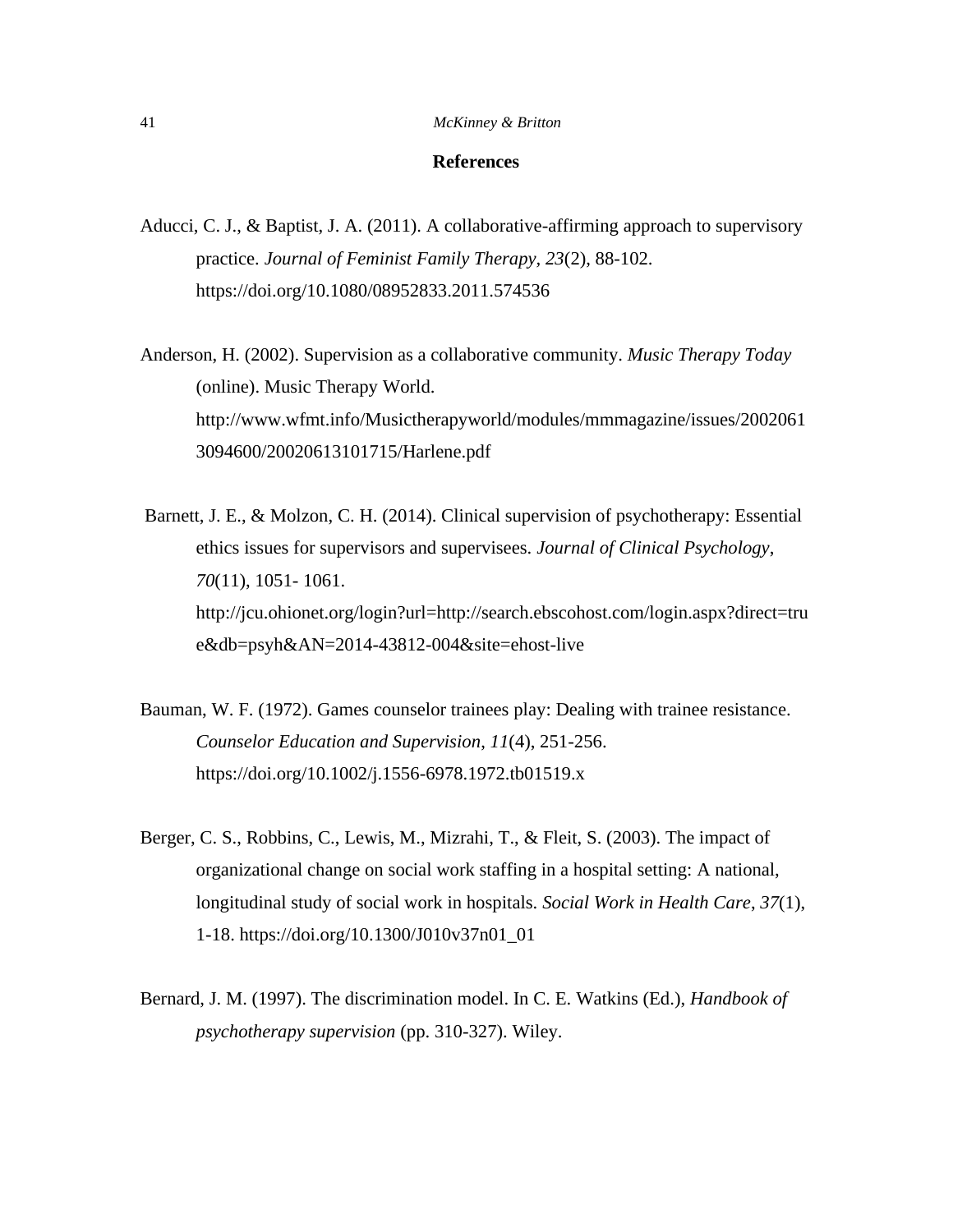### **References**

Aducci, C. J., & Baptist, J. A. (2011). A collaborative-affirming approach to supervisory practice. *Journal of Feminist Family Therapy, 23*(2), 88-102. https://doi.org/10.1080/08952833.2011.574536

Anderson, H. (2002). Supervision as a collaborative community. *Music Therapy Today* (online). Music Therapy World. http://www.wfmt.info/Musictherapyworld/modules/mmmagazine/issues/2002061 3094600/20020613101715/Harlene.pdf

Barnett, J. E., & Molzon, C. H. (2014). Clinical supervision of psychotherapy: Essential ethics issues for supervisors and supervisees. *Journal of Clinical Psychology*, *70*(11), 1051- 1061. http://jcu.ohionet.org/login?url=http://search.ebscohost.com/login.aspx?direct=tru e&db=psyh&AN=2014-43812-004&site=ehost-live

- Bauman, W. F. (1972). Games counselor trainees play: Dealing with trainee resistance. *Counselor Education and Supervision*, *11*(4), 251-256. https://doi.org/10.1002/j.1556-6978.1972.tb01519.x
- Berger, C. S., Robbins, C., Lewis, M., Mizrahi, T., & Fleit, S. (2003). The impact of organizational change on social work staffing in a hospital setting: A national, longitudinal study of social work in hospitals. *Social Work in Health Care*, *37*(1), 1-18. https://doi.org/10.1300/J010v37n01\_01
- Bernard, J. M. (1997). The discrimination model. In C. E. Watkins (Ed.), *Handbook of psychotherapy supervision* (pp. 310-327). Wiley.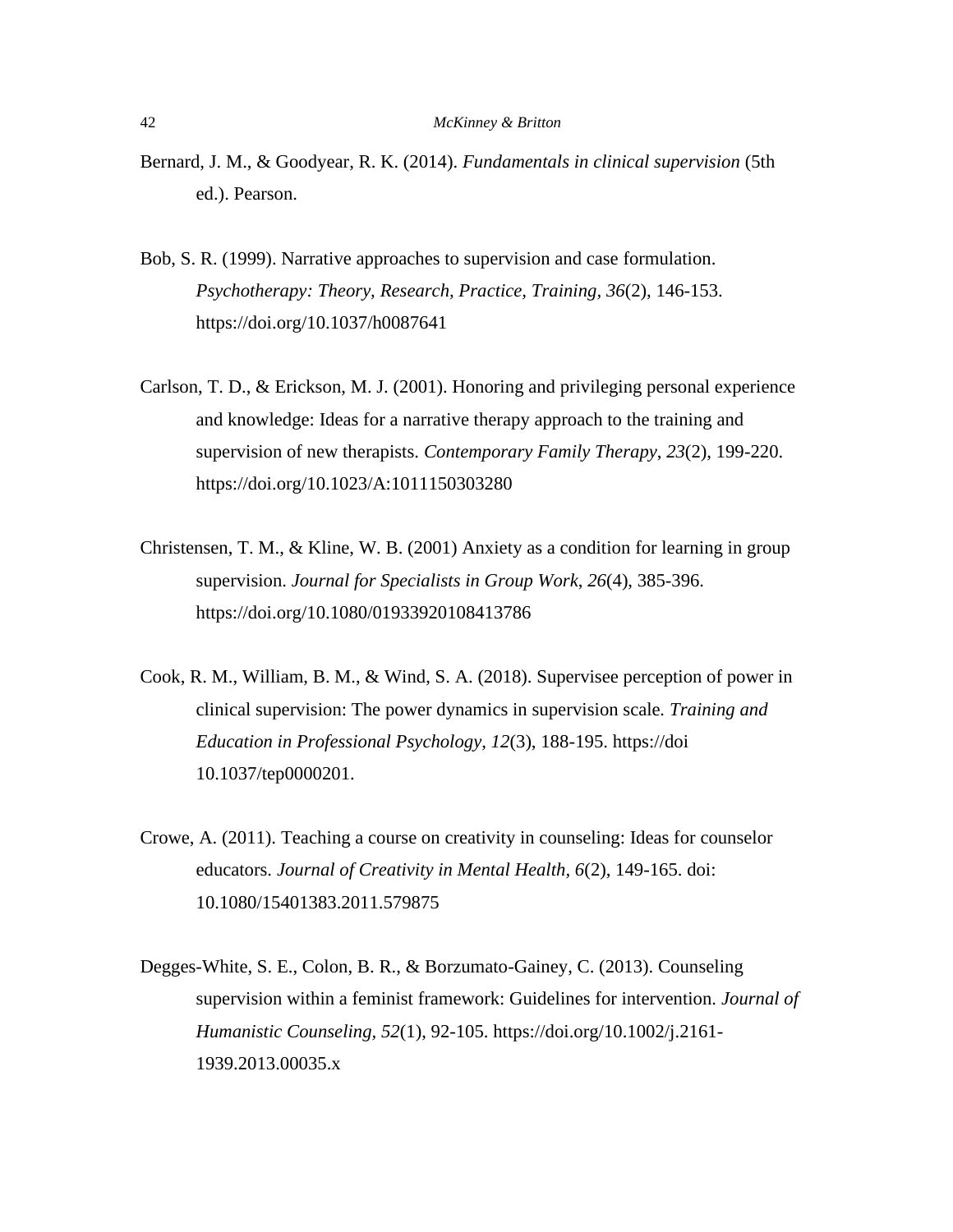- Bernard, J. M., & Goodyear, R. K. (2014). *Fundamentals in clinical supervision* (5th ed.). Pearson.
- Bob, S. R. (1999). Narrative approaches to supervision and case formulation. *Psychotherapy: Theory, Research, Practice, Training, 36*(2), 146-153. https://doi.org/10.1037/h0087641
- Carlson, T. D., & Erickson, M. J. (2001). Honoring and privileging personal experience and knowledge: Ideas for a narrative therapy approach to the training and supervision of new therapists. *Contemporary Family Therapy*, *23*(2), 199-220. https://doi.org/10.1023/A:1011150303280
- Christensen, T. M., & Kline, W. B. (2001) Anxiety as a condition for learning in group supervision. *Journal for Specialists in Group Work*, *26*(4), 385-396. https://doi.org/10.1080/01933920108413786
- Cook, R. M., William, B. M., & Wind, S. A. (2018). Supervisee perception of power in clinical supervision: The power dynamics in supervision scale*. Training and Education in Professional Psychology, 12*(3), 188-195. https://doi 10.1037/tep0000201.
- Crowe, A. (2011). Teaching a course on creativity in counseling: Ideas for counselor educators. *Journal of Creativity in Mental Health, 6*(2), 149-165. doi: 10.1080/15401383.2011.579875
- Degges-White, S. E., Colon, B. R., & Borzumato-Gainey, C. (2013). Counseling supervision within a feminist framework: Guidelines for intervention. *Journal of Humanistic Counseling, 52*(1), 92-105. https://doi.org/10.1002/j.2161- 1939.2013.00035.x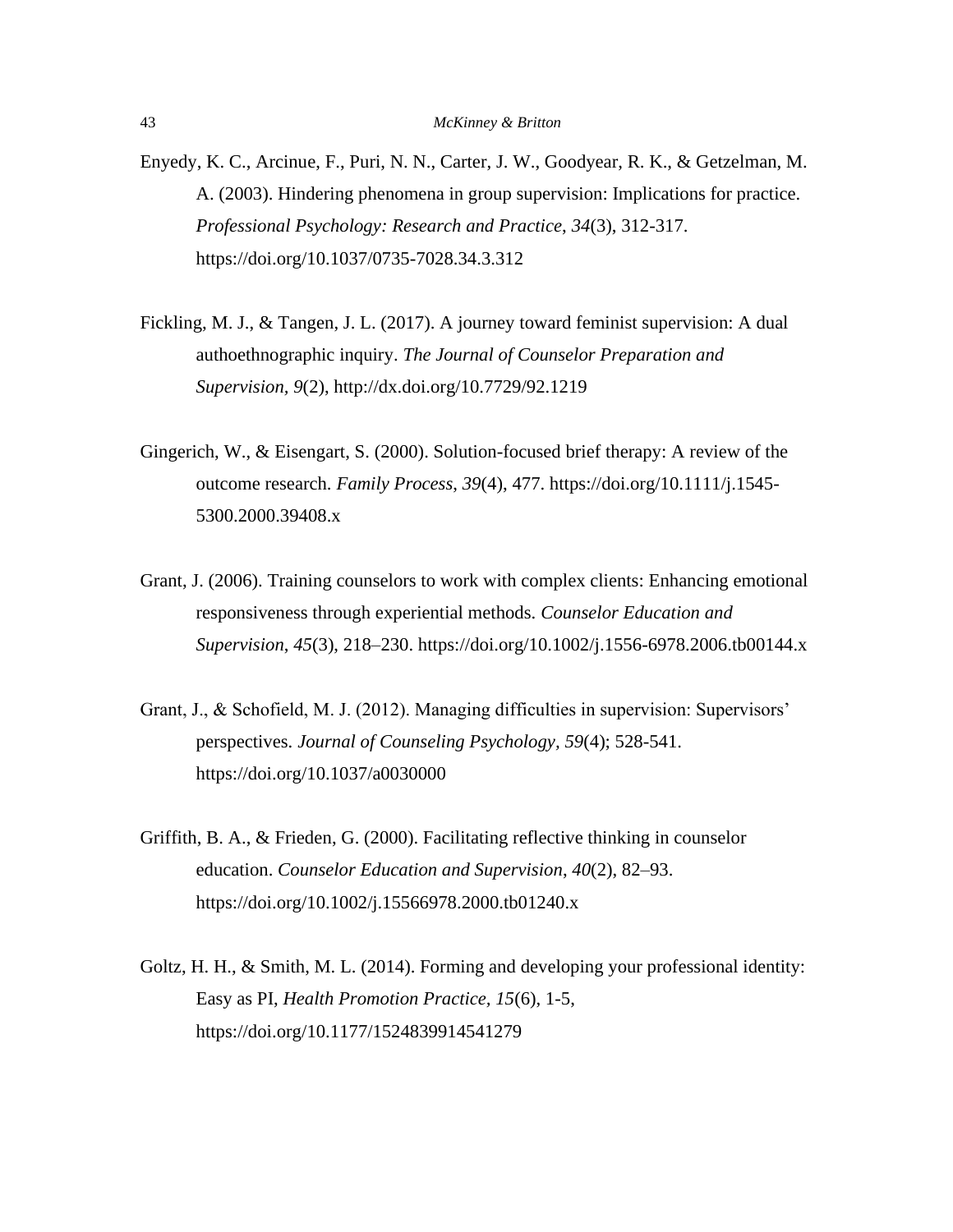- Enyedy, K. C., Arcinue, F., Puri, N. N., Carter, J. W., Goodyear, R. K., & Getzelman, M. A. (2003). Hindering phenomena in group supervision: Implications for practice. *Professional Psychology: Research and Practice*, *34*(3), 312-317. https://doi.org/10.1037/0735-7028.34.3.312
- Fickling, M. J., & Tangen, J. L. (2017). A journey toward feminist supervision: A dual authoethnographic inquiry. *The Journal of Counselor Preparation and Supervision, 9*(2), http://dx.doi.org/10.7729/92.1219
- Gingerich, W., & Eisengart, S. (2000). Solution-focused brief therapy: A review of the outcome research. *Family Process*, *39*(4), 477. https://doi.org/10.1111/j.1545- 5300.2000.39408.x
- Grant, J. (2006). Training counselors to work with complex clients: Enhancing emotional responsiveness through experiential methods. *Counselor Education and Supervision*, *45*(3), 218–230. https://doi.org/10.1002/j.1556-6978.2006.tb00144.x
- Grant, J., & Schofield, M. J. (2012). Managing difficulties in supervision: Supervisors' perspectives. *Journal of Counseling Psychology, 59*(4); 528-541. https://doi.org/10.1037/a0030000
- Griffith, B. A., & Frieden, G. (2000). Facilitating reflective thinking in counselor education. *Counselor Education and Supervision*, *40*(2), 82–93. https://doi.org/10.1002/j.15566978.2000.tb01240.x
- Goltz, H. H., & Smith, M. L. (2014). Forming and developing your professional identity: Easy as PI, *Health Promotion Practice, 15*(6), 1-5, https://doi.org/10.1177/1524839914541279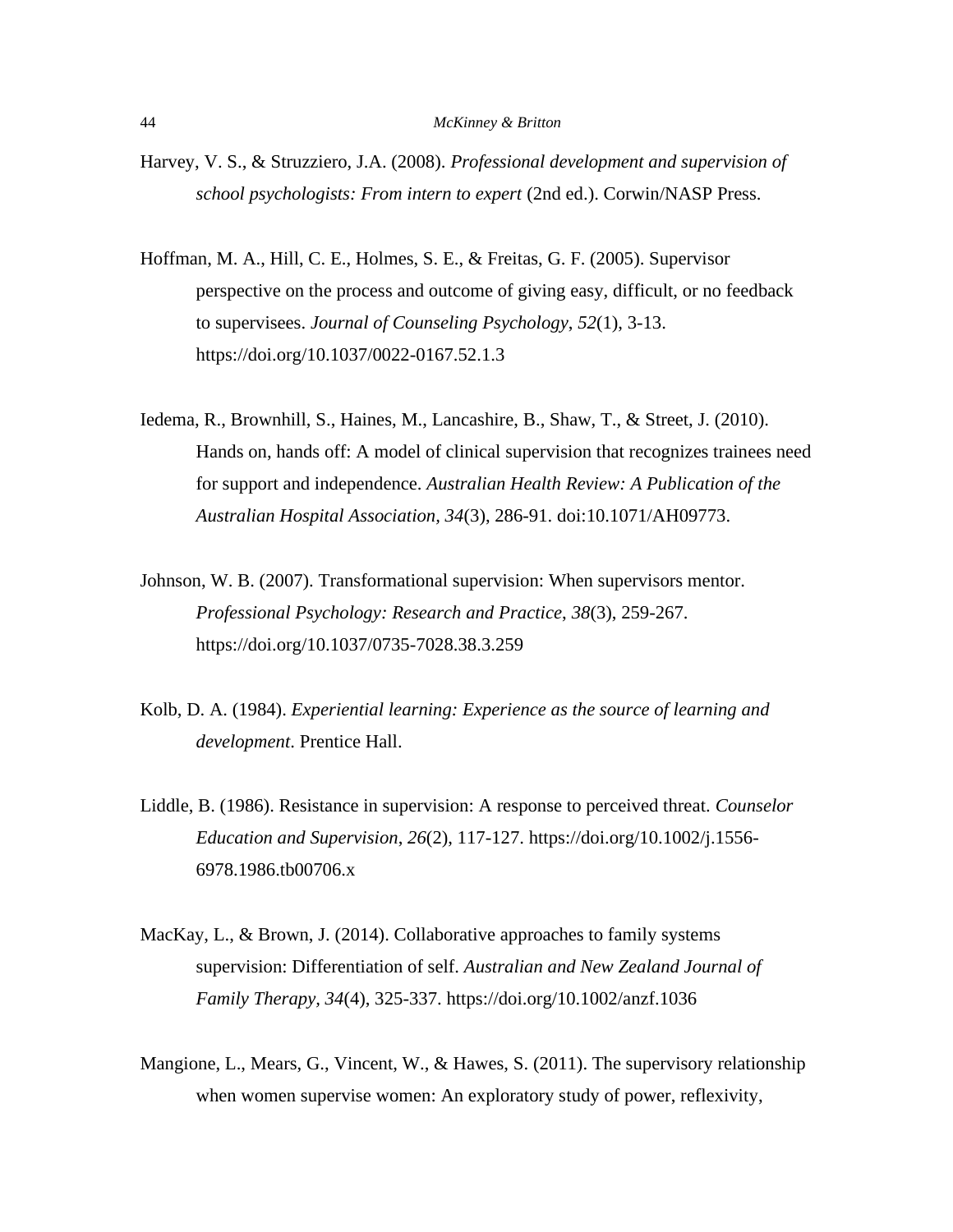- Harvey, V. S., & Struzziero, J.A. (2008). *Professional development and supervision of school psychologists: From intern to expert* (2nd ed.). Corwin/NASP Press.
- Hoffman, M. A., Hill, C. E., Holmes, S. E., & Freitas, G. F. (2005). Supervisor perspective on the process and outcome of giving easy, difficult, or no feedback to supervisees. *Journal of Counseling Psychology*, *52*(1), 3-13. https://doi.org/10.1037/0022-0167.52.1.3
- Iedema, R., Brownhill, S., Haines, M., Lancashire, B., Shaw, T., & Street, J. (2010). Hands on, hands off: A model of clinical supervision that recognizes trainees need for support and independence. *Australian Health Review: A Publication of the Australian Hospital Association, 34*(3), 286-91. doi:10.1071/AH09773.
- Johnson, W. B. (2007). Transformational supervision: When supervisors mentor. *Professional Psychology: Research and Practice*, *38*(3), 259-267. https://doi.org/10.1037/0735-7028.38.3.259
- Kolb, D. A. (1984). *Experiential learning: Experience as the source of learning and development*. Prentice Hall.
- Liddle, B. (1986). Resistance in supervision: A response to perceived threat. *Counselor Education and Supervision*, *26*(2), 117-127. https://doi.org/10.1002/j.1556- 6978.1986.tb00706.x
- MacKay, L., & Brown, J. (2014). Collaborative approaches to family systems supervision: Differentiation of self. *Australian and New Zealand Journal of Family Therapy, 34*(4), 325-337. https://doi.org/10.1002/anzf.1036
- Mangione, L., Mears, G., Vincent, W., & Hawes, S. (2011). The supervisory relationship when women supervise women: An exploratory study of power, reflexivity,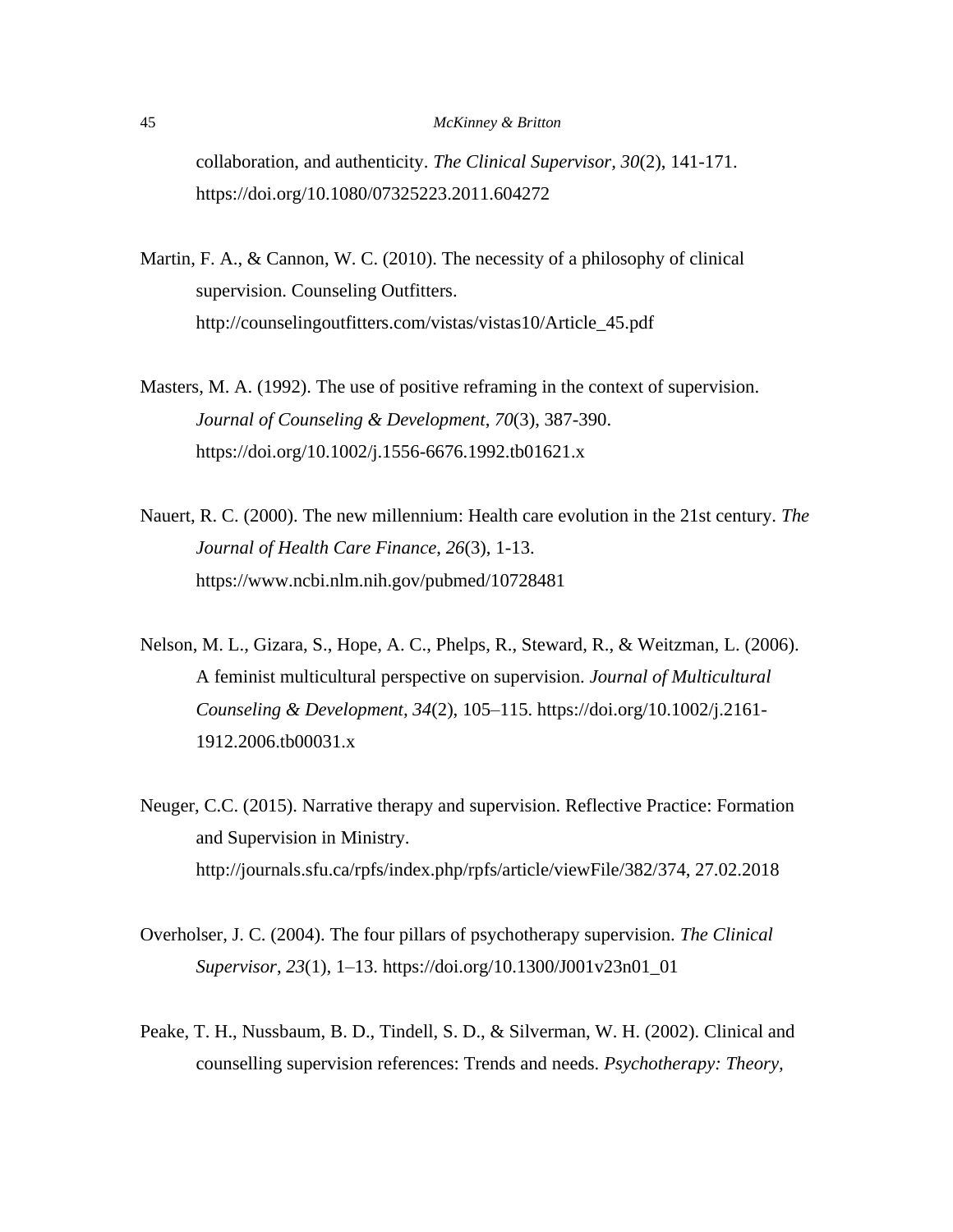collaboration, and authenticity. *The Clinical Supervisor, 30*(2), 141-171. https://doi.org/10.1080/07325223.2011.604272

- Martin, F. A.,  $\&$  Cannon, W. C. (2010). The necessity of a philosophy of clinical supervision. Counseling Outfitters. http://counselingoutfitters.com/vistas/vistas10/Article\_45.pdf
- Masters, M. A. (1992). The use of positive reframing in the context of supervision. *Journal of Counseling & Development*, *70*(3), 387-390. https://doi.org/10.1002/j.1556-6676.1992.tb01621.x
- Nauert, R. C. (2000). The new millennium: Health care evolution in the 21st century. *The Journal of Health Care Finance*, *26*(3), 1-13. https://www.ncbi.nlm.nih.gov/pubmed/10728481
- Nelson, M. L., Gizara, S., Hope, A. C., Phelps, R., Steward, R., & Weitzman, L. (2006). A feminist multicultural perspective on supervision. *Journal of Multicultural Counseling & Development, 34*(2), 105–115. https://doi.org/10.1002/j.2161- 1912.2006.tb00031.x
- Neuger, C.C. (2015). Narrative therapy and supervision. Reflective Practice: Formation and Supervision in Ministry. http://journals.sfu.ca/rpfs/index.php/rpfs/article/viewFile/382/374, 27.02.2018
- Overholser, J. C. (2004). The four pillars of psychotherapy supervision. *The Clinical Supervisor*, *23*(1), 1–13. https://doi.org/10.1300/J001v23n01\_01
- Peake, T. H., Nussbaum, B. D., Tindell, S. D., & Silverman, W. H. (2002). Clinical and counselling supervision references: Trends and needs. *Psychotherapy: Theory,*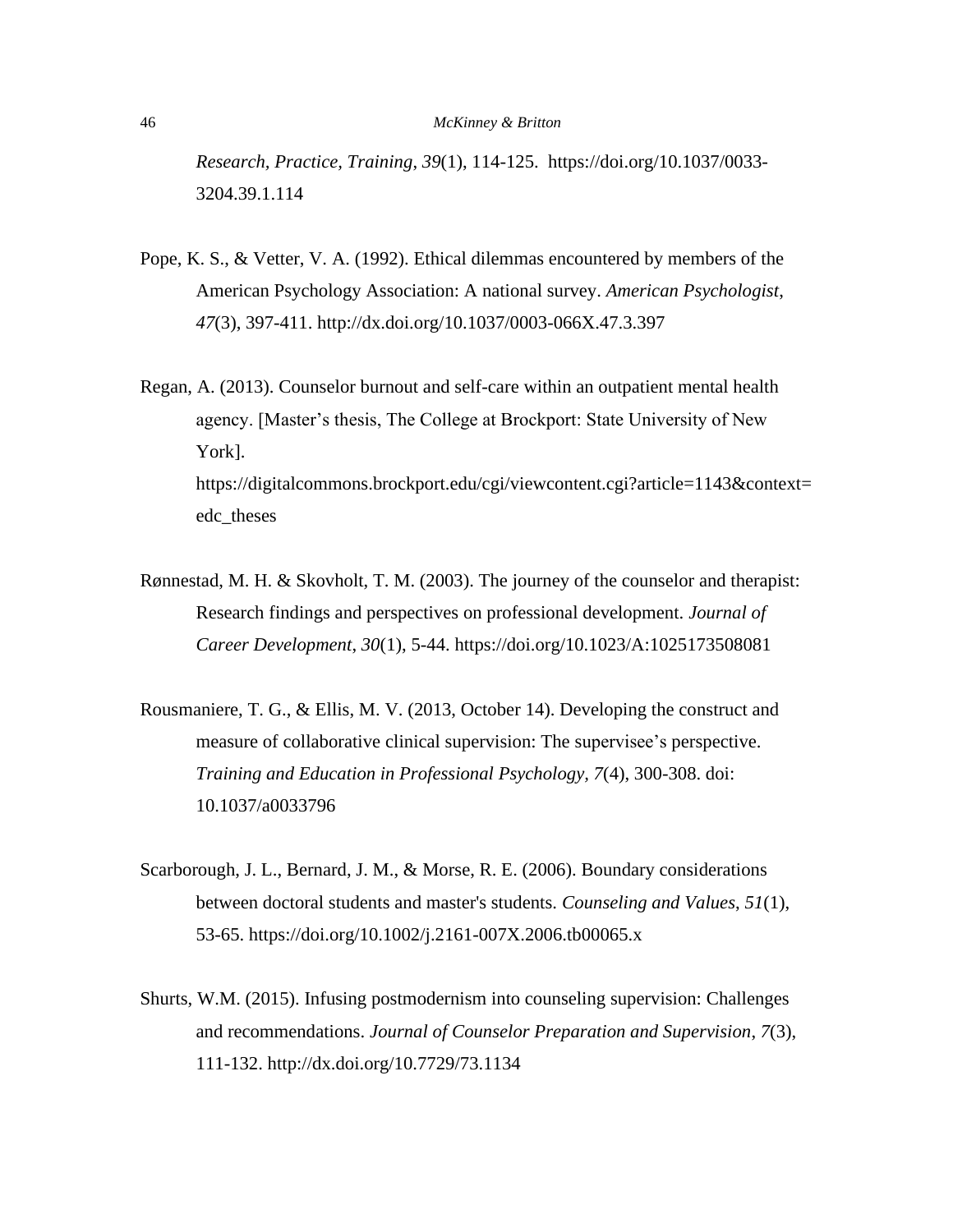*Research, Practice, Training*, *39*(1), 114-125. https://doi.org/10.1037/0033- 3204.39.1.114

- Pope, K. S., & Vetter, V. A. (1992). Ethical dilemmas encountered by members of the American Psychology Association: A national survey. *American Psychologist*, *47*(3), 397-411. http://dx.doi.org/10.1037/0003-066X.47.3.397
- Regan, A. (2013). Counselor burnout and self-care within an outpatient mental health agency. [Master's thesis, The College at Brockport: State University of New York]. https://digitalcommons.brockport.edu/cgi/viewcontent.cgi?article=1143&context= edc\_theses
- Rønnestad, M. H. & Skovholt, T. M. (2003). The journey of the counselor and therapist: Research findings and perspectives on professional development. *Journal of Career Development*, *30*(1), 5-44. https://doi.org/10.1023/A:1025173508081
- Rousmaniere, T. G., & Ellis, M. V. (2013, October 14). Developing the construct and measure of collaborative clinical supervision: The supervisee's perspective. *Training and Education in Professional Psychology, 7*(4), 300-308. doi: 10.1037/a0033796
- Scarborough, J. L., Bernard, J. M., & Morse, R. E. (2006). Boundary considerations between doctoral students and master's students. *Counseling and Values*, *51*(1), 53-65. https://doi.org/10.1002/j.2161-007X.2006.tb00065.x
- Shurts, W.M. (2015). Infusing postmodernism into counseling supervision: Challenges and recommendations. *Journal of Counselor Preparation and Supervision*, *7*(3), 111-132. http://dx.doi.org/10.7729/73.1134